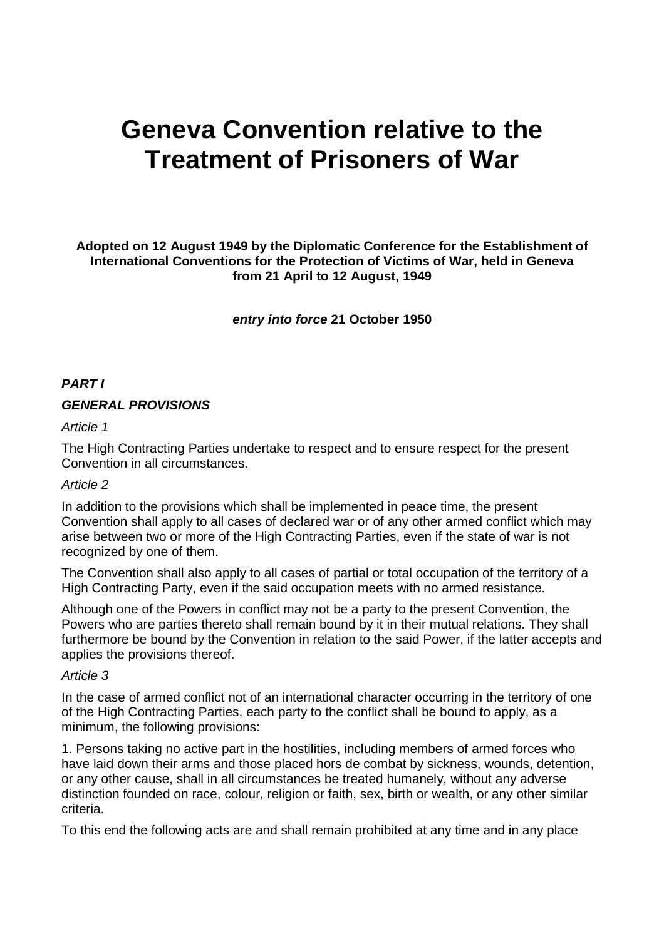# **Geneva Convention relative to the Treatment of Prisoners of War**

**Adopted on 12 August 1949 by the Diplomatic Conference for the Establishment of International Conventions for the Protection of Victims of War, held in Geneva from 21 April to 12 August, 1949** 

**entry into force 21 October 1950** 

# **PART I**

#### **GENERAL PROVISIONS**

#### Article 1

The High Contracting Parties undertake to respect and to ensure respect for the present Convention in all circumstances.

#### Article 2

In addition to the provisions which shall be implemented in peace time, the present Convention shall apply to all cases of declared war or of any other armed conflict which may arise between two or more of the High Contracting Parties, even if the state of war is not recognized by one of them.

The Convention shall also apply to all cases of partial or total occupation of the territory of a High Contracting Party, even if the said occupation meets with no armed resistance.

Although one of the Powers in conflict may not be a party to the present Convention, the Powers who are parties thereto shall remain bound by it in their mutual relations. They shall furthermore be bound by the Convention in relation to the said Power, if the latter accepts and applies the provisions thereof.

#### Article 3

In the case of armed conflict not of an international character occurring in the territory of one of the High Contracting Parties, each party to the conflict shall be bound to apply, as a minimum, the following provisions:

1. Persons taking no active part in the hostilities, including members of armed forces who have laid down their arms and those placed hors de combat by sickness, wounds, detention, or any other cause, shall in all circumstances be treated humanely, without any adverse distinction founded on race, colour, religion or faith, sex, birth or wealth, or any other similar criteria.

To this end the following acts are and shall remain prohibited at any time and in any place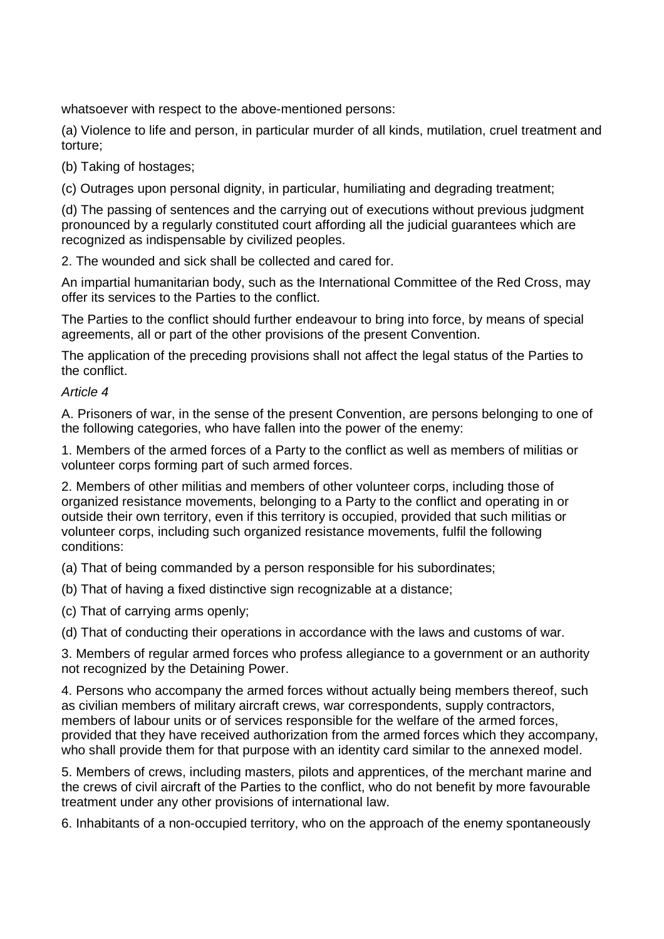whatsoever with respect to the above-mentioned persons:

(a) Violence to life and person, in particular murder of all kinds, mutilation, cruel treatment and torture;

(b) Taking of hostages;

(c) Outrages upon personal dignity, in particular, humiliating and degrading treatment;

(d) The passing of sentences and the carrying out of executions without previous judgment pronounced by a regularly constituted court affording all the judicial guarantees which are recognized as indispensable by civilized peoples.

2. The wounded and sick shall be collected and cared for.

An impartial humanitarian body, such as the International Committee of the Red Cross, may offer its services to the Parties to the conflict.

The Parties to the conflict should further endeavour to bring into force, by means of special agreements, all or part of the other provisions of the present Convention.

The application of the preceding provisions shall not affect the legal status of the Parties to the conflict.

### Article 4

A. Prisoners of war, in the sense of the present Convention, are persons belonging to one of the following categories, who have fallen into the power of the enemy:

1. Members of the armed forces of a Party to the conflict as well as members of militias or volunteer corps forming part of such armed forces.

2. Members of other militias and members of other volunteer corps, including those of organized resistance movements, belonging to a Party to the conflict and operating in or outside their own territory, even if this territory is occupied, provided that such militias or volunteer corps, including such organized resistance movements, fulfil the following conditions:

(a) That of being commanded by a person responsible for his subordinates;

(b) That of having a fixed distinctive sign recognizable at a distance;

(c) That of carrying arms openly;

(d) That of conducting their operations in accordance with the laws and customs of war.

3. Members of regular armed forces who profess allegiance to a government or an authority not recognized by the Detaining Power.

4. Persons who accompany the armed forces without actually being members thereof, such as civilian members of military aircraft crews, war correspondents, supply contractors, members of labour units or of services responsible for the welfare of the armed forces, provided that they have received authorization from the armed forces which they accompany, who shall provide them for that purpose with an identity card similar to the annexed model.

5. Members of crews, including masters, pilots and apprentices, of the merchant marine and the crews of civil aircraft of the Parties to the conflict, who do not benefit by more favourable treatment under any other provisions of international law.

6. Inhabitants of a non-occupied territory, who on the approach of the enemy spontaneously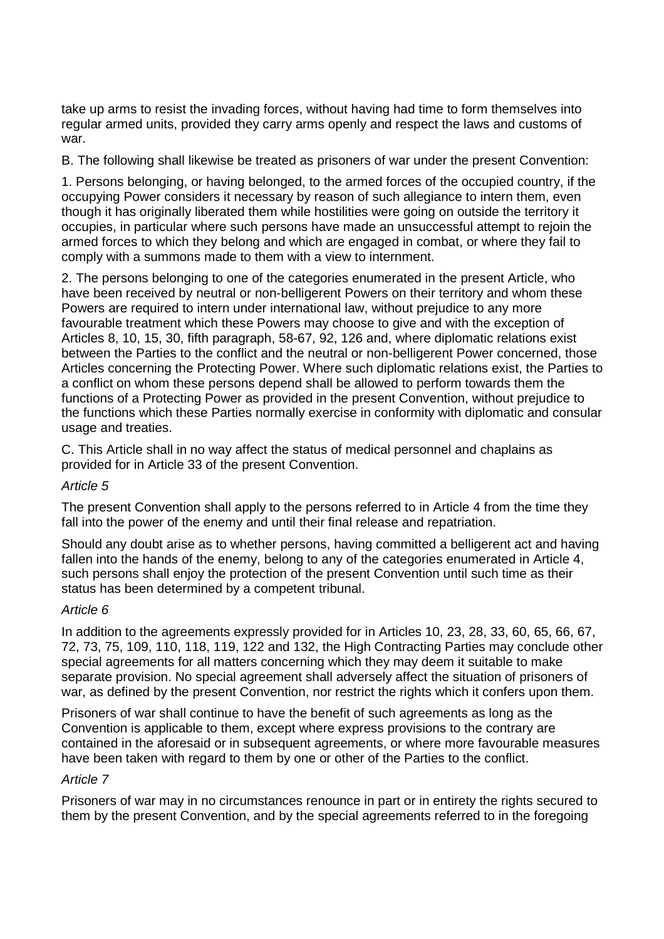take up arms to resist the invading forces, without having had time to form themselves into regular armed units, provided they carry arms openly and respect the laws and customs of war.

B. The following shall likewise be treated as prisoners of war under the present Convention:

1. Persons belonging, or having belonged, to the armed forces of the occupied country, if the occupying Power considers it necessary by reason of such allegiance to intern them, even though it has originally liberated them while hostilities were going on outside the territory it occupies, in particular where such persons have made an unsuccessful attempt to rejoin the armed forces to which they belong and which are engaged in combat, or where they fail to comply with a summons made to them with a view to internment.

2. The persons belonging to one of the categories enumerated in the present Article, who have been received by neutral or non-belligerent Powers on their territory and whom these Powers are required to intern under international law, without prejudice to any more favourable treatment which these Powers may choose to give and with the exception of Articles 8, 10, 15, 30, fifth paragraph, 58-67, 92, 126 and, where diplomatic relations exist between the Parties to the conflict and the neutral or non-belligerent Power concerned, those Articles concerning the Protecting Power. Where such diplomatic relations exist, the Parties to a conflict on whom these persons depend shall be allowed to perform towards them the functions of a Protecting Power as provided in the present Convention, without prejudice to the functions which these Parties normally exercise in conformity with diplomatic and consular usage and treaties.

C. This Article shall in no way affect the status of medical personnel and chaplains as provided for in Article 33 of the present Convention.

# Article 5

The present Convention shall apply to the persons referred to in Article 4 from the time they fall into the power of the enemy and until their final release and repatriation.

Should any doubt arise as to whether persons, having committed a belligerent act and having fallen into the hands of the enemy, belong to any of the categories enumerated in Article 4, such persons shall enjoy the protection of the present Convention until such time as their status has been determined by a competent tribunal.

# Article 6

In addition to the agreements expressly provided for in Articles 10, 23, 28, 33, 60, 65, 66, 67, 72, 73, 75, 109, 110, 118, 119, 122 and 132, the High Contracting Parties may conclude other special agreements for all matters concerning which they may deem it suitable to make separate provision. No special agreement shall adversely affect the situation of prisoners of war, as defined by the present Convention, nor restrict the rights which it confers upon them.

Prisoners of war shall continue to have the benefit of such agreements as long as the Convention is applicable to them, except where express provisions to the contrary are contained in the aforesaid or in subsequent agreements, or where more favourable measures have been taken with regard to them by one or other of the Parties to the conflict.

#### Article 7

Prisoners of war may in no circumstances renounce in part or in entirety the rights secured to them by the present Convention, and by the special agreements referred to in the foregoing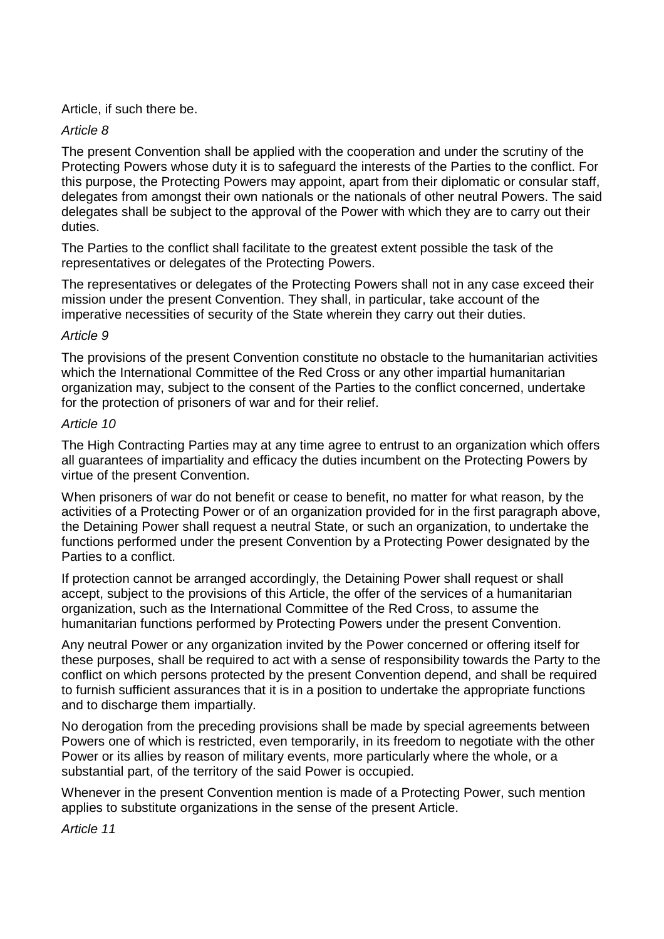Article, if such there be.

# Article 8

The present Convention shall be applied with the cooperation and under the scrutiny of the Protecting Powers whose duty it is to safeguard the interests of the Parties to the conflict. For this purpose, the Protecting Powers may appoint, apart from their diplomatic or consular staff, delegates from amongst their own nationals or the nationals of other neutral Powers. The said delegates shall be subject to the approval of the Power with which they are to carry out their duties.

The Parties to the conflict shall facilitate to the greatest extent possible the task of the representatives or delegates of the Protecting Powers.

The representatives or delegates of the Protecting Powers shall not in any case exceed their mission under the present Convention. They shall, in particular, take account of the imperative necessities of security of the State wherein they carry out their duties.

### Article 9

The provisions of the present Convention constitute no obstacle to the humanitarian activities which the International Committee of the Red Cross or any other impartial humanitarian organization may, subject to the consent of the Parties to the conflict concerned, undertake for the protection of prisoners of war and for their relief.

### $Artich 10$

The High Contracting Parties may at any time agree to entrust to an organization which offers all guarantees of impartiality and efficacy the duties incumbent on the Protecting Powers by virtue of the present Convention.

When prisoners of war do not benefit or cease to benefit, no matter for what reason, by the activities of a Protecting Power or of an organization provided for in the first paragraph above, the Detaining Power shall request a neutral State, or such an organization, to undertake the functions performed under the present Convention by a Protecting Power designated by the Parties to a conflict.

If protection cannot be arranged accordingly, the Detaining Power shall request or shall accept, subject to the provisions of this Article, the offer of the services of a humanitarian organization, such as the International Committee of the Red Cross, to assume the humanitarian functions performed by Protecting Powers under the present Convention.

Any neutral Power or any organization invited by the Power concerned or offering itself for these purposes, shall be required to act with a sense of responsibility towards the Party to the conflict on which persons protected by the present Convention depend, and shall be required to furnish sufficient assurances that it is in a position to undertake the appropriate functions and to discharge them impartially.

No derogation from the preceding provisions shall be made by special agreements between Powers one of which is restricted, even temporarily, in its freedom to negotiate with the other Power or its allies by reason of military events, more particularly where the whole, or a substantial part, of the territory of the said Power is occupied.

Whenever in the present Convention mention is made of a Protecting Power, such mention applies to substitute organizations in the sense of the present Article.

Article 11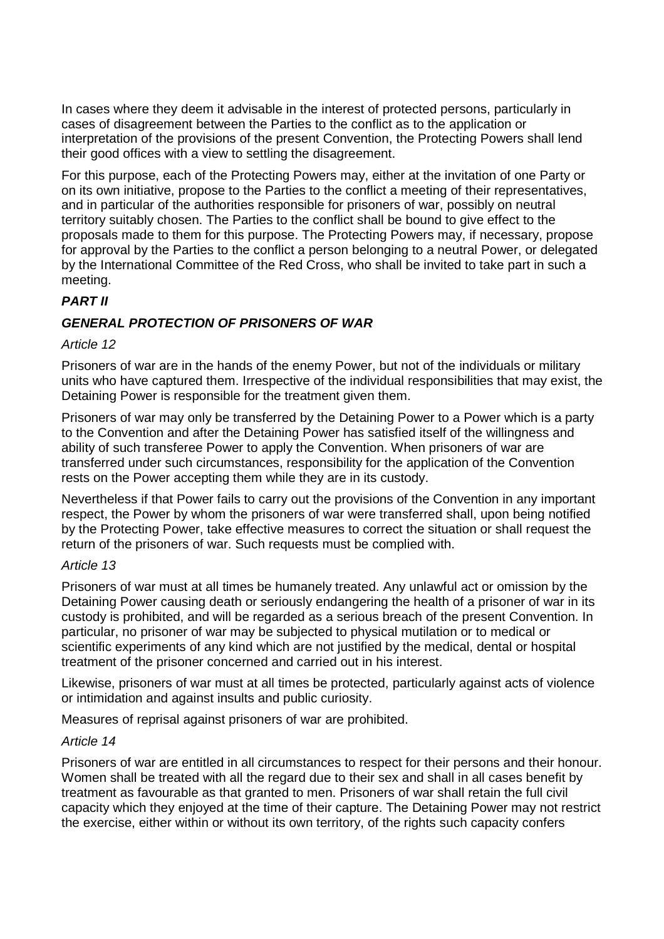In cases where they deem it advisable in the interest of protected persons, particularly in cases of disagreement between the Parties to the conflict as to the application or interpretation of the provisions of the present Convention, the Protecting Powers shall lend their good offices with a view to settling the disagreement.

For this purpose, each of the Protecting Powers may, either at the invitation of one Party or on its own initiative, propose to the Parties to the conflict a meeting of their representatives, and in particular of the authorities responsible for prisoners of war, possibly on neutral territory suitably chosen. The Parties to the conflict shall be bound to give effect to the proposals made to them for this purpose. The Protecting Powers may, if necessary, propose for approval by the Parties to the conflict a person belonging to a neutral Power, or delegated by the International Committee of the Red Cross, who shall be invited to take part in such a meeting.

# **PART II**

# **GENERAL PROTECTION OF PRISONERS OF WAR**

### Article 12

Prisoners of war are in the hands of the enemy Power, but not of the individuals or military units who have captured them. Irrespective of the individual responsibilities that may exist, the Detaining Power is responsible for the treatment given them.

Prisoners of war may only be transferred by the Detaining Power to a Power which is a party to the Convention and after the Detaining Power has satisfied itself of the willingness and ability of such transferee Power to apply the Convention. When prisoners of war are transferred under such circumstances, responsibility for the application of the Convention rests on the Power accepting them while they are in its custody.

Nevertheless if that Power fails to carry out the provisions of the Convention in any important respect, the Power by whom the prisoners of war were transferred shall, upon being notified by the Protecting Power, take effective measures to correct the situation or shall request the return of the prisoners of war. Such requests must be complied with.

# Article 13

Prisoners of war must at all times be humanely treated. Any unlawful act or omission by the Detaining Power causing death or seriously endangering the health of a prisoner of war in its custody is prohibited, and will be regarded as a serious breach of the present Convention. In particular, no prisoner of war may be subjected to physical mutilation or to medical or scientific experiments of any kind which are not justified by the medical, dental or hospital treatment of the prisoner concerned and carried out in his interest.

Likewise, prisoners of war must at all times be protected, particularly against acts of violence or intimidation and against insults and public curiosity.

Measures of reprisal against prisoners of war are prohibited.

#### Article 14

Prisoners of war are entitled in all circumstances to respect for their persons and their honour. Women shall be treated with all the regard due to their sex and shall in all cases benefit by treatment as favourable as that granted to men. Prisoners of war shall retain the full civil capacity which they enjoyed at the time of their capture. The Detaining Power may not restrict the exercise, either within or without its own territory, of the rights such capacity confers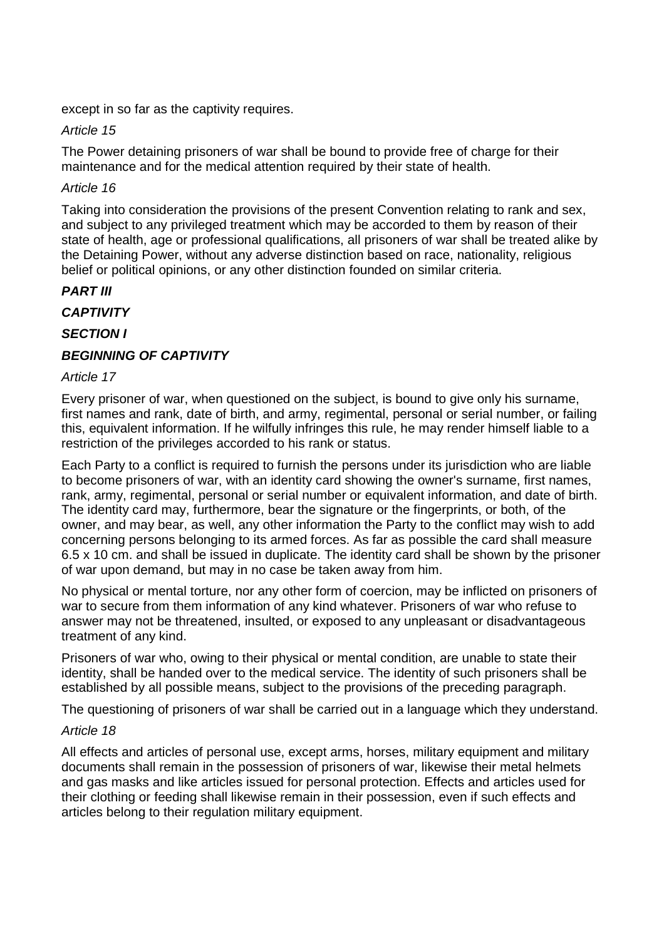except in so far as the captivity requires.

# Article 15

The Power detaining prisoners of war shall be bound to provide free of charge for their maintenance and for the medical attention required by their state of health.

### Article 16

Taking into consideration the provisions of the present Convention relating to rank and sex, and subject to any privileged treatment which may be accorded to them by reason of their state of health, age or professional qualifications, all prisoners of war shall be treated alike by the Detaining Power, without any adverse distinction based on race, nationality, religious belief or political opinions, or any other distinction founded on similar criteria.

### **PART III**

**CAPTIVITY**

### **SECTION I**

# **BEGINNING OF CAPTIVITY**

### Article 17

Every prisoner of war, when questioned on the subject, is bound to give only his surname, first names and rank, date of birth, and army, regimental, personal or serial number, or failing this, equivalent information. If he wilfully infringes this rule, he may render himself liable to a restriction of the privileges accorded to his rank or status.

Each Party to a conflict is required to furnish the persons under its jurisdiction who are liable to become prisoners of war, with an identity card showing the owner's surname, first names, rank, army, regimental, personal or serial number or equivalent information, and date of birth. The identity card may, furthermore, bear the signature or the fingerprints, or both, of the owner, and may bear, as well, any other information the Party to the conflict may wish to add concerning persons belonging to its armed forces. As far as possible the card shall measure 6.5 x 10 cm. and shall be issued in duplicate. The identity card shall be shown by the prisoner of war upon demand, but may in no case be taken away from him.

No physical or mental torture, nor any other form of coercion, may be inflicted on prisoners of war to secure from them information of any kind whatever. Prisoners of war who refuse to answer may not be threatened, insulted, or exposed to any unpleasant or disadvantageous treatment of any kind.

Prisoners of war who, owing to their physical or mental condition, are unable to state their identity, shall be handed over to the medical service. The identity of such prisoners shall be established by all possible means, subject to the provisions of the preceding paragraph.

The questioning of prisoners of war shall be carried out in a language which they understand.

# Article 18

All effects and articles of personal use, except arms, horses, military equipment and military documents shall remain in the possession of prisoners of war, likewise their metal helmets and gas masks and like articles issued for personal protection. Effects and articles used for their clothing or feeding shall likewise remain in their possession, even if such effects and articles belong to their regulation military equipment.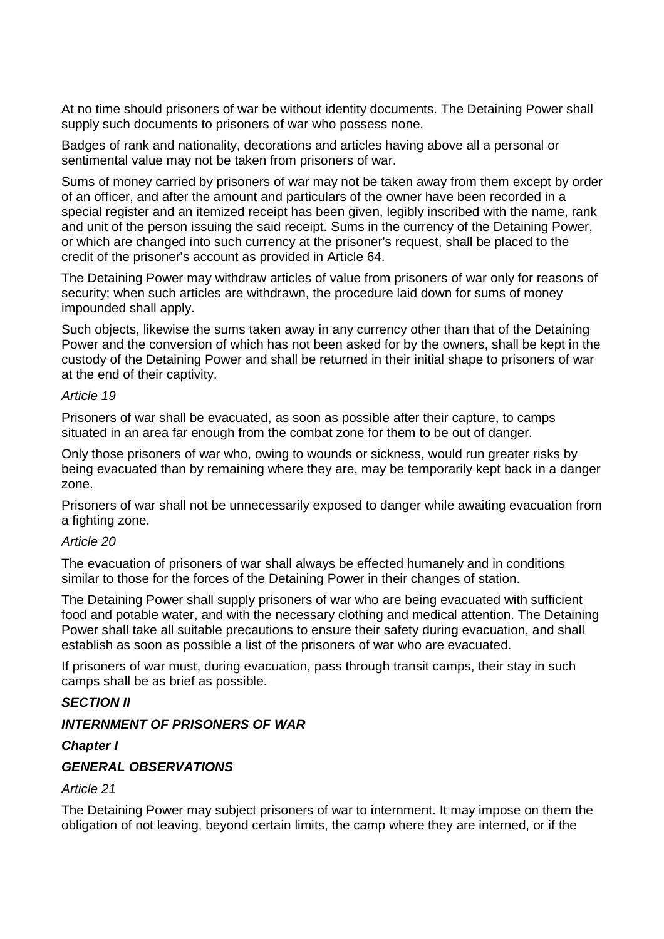At no time should prisoners of war be without identity documents. The Detaining Power shall supply such documents to prisoners of war who possess none.

Badges of rank and nationality, decorations and articles having above all a personal or sentimental value may not be taken from prisoners of war.

Sums of money carried by prisoners of war may not be taken away from them except by order of an officer, and after the amount and particulars of the owner have been recorded in a special register and an itemized receipt has been given, legibly inscribed with the name, rank and unit of the person issuing the said receipt. Sums in the currency of the Detaining Power, or which are changed into such currency at the prisoner's request, shall be placed to the credit of the prisoner's account as provided in Article 64.

The Detaining Power may withdraw articles of value from prisoners of war only for reasons of security; when such articles are withdrawn, the procedure laid down for sums of money impounded shall apply.

Such objects, likewise the sums taken away in any currency other than that of the Detaining Power and the conversion of which has not been asked for by the owners, shall be kept in the custody of the Detaining Power and shall be returned in their initial shape to prisoners of war at the end of their captivity.

### Article 19

Prisoners of war shall be evacuated, as soon as possible after their capture, to camps situated in an area far enough from the combat zone for them to be out of danger.

Only those prisoners of war who, owing to wounds or sickness, would run greater risks by being evacuated than by remaining where they are, may be temporarily kept back in a danger zone.

Prisoners of war shall not be unnecessarily exposed to danger while awaiting evacuation from a fighting zone.

# Article 20

The evacuation of prisoners of war shall always be effected humanely and in conditions similar to those for the forces of the Detaining Power in their changes of station.

The Detaining Power shall supply prisoners of war who are being evacuated with sufficient food and potable water, and with the necessary clothing and medical attention. The Detaining Power shall take all suitable precautions to ensure their safety during evacuation, and shall establish as soon as possible a list of the prisoners of war who are evacuated.

If prisoners of war must, during evacuation, pass through transit camps, their stay in such camps shall be as brief as possible.

# **SECTION II**

# **INTERNMENT OF PRISONERS OF WAR**

#### **Chapter I**

# **GENERAL OBSERVATIONS**

#### Article 21

The Detaining Power may subject prisoners of war to internment. It may impose on them the obligation of not leaving, beyond certain limits, the camp where they are interned, or if the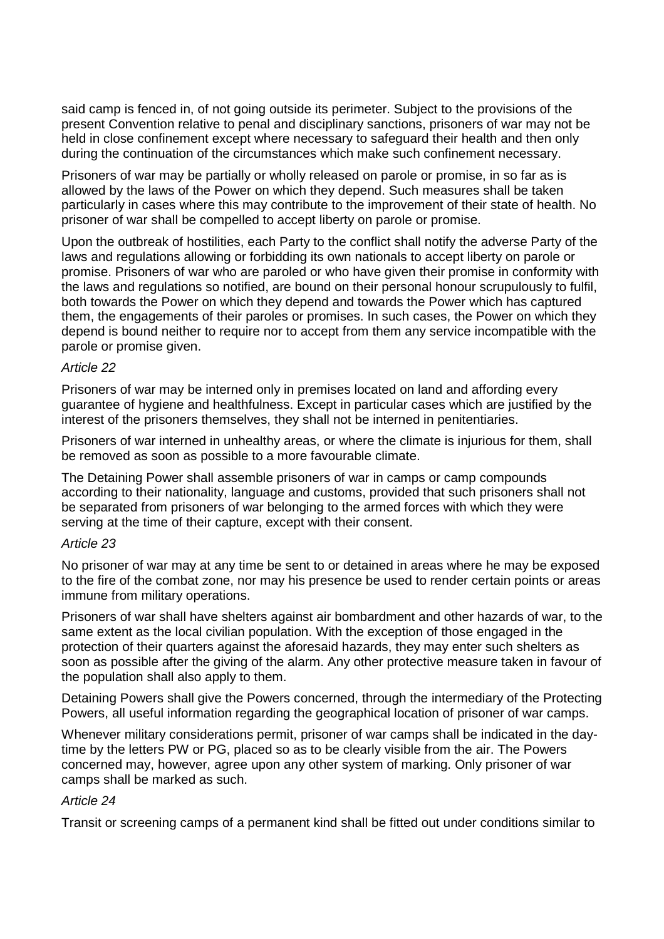said camp is fenced in, of not going outside its perimeter. Subject to the provisions of the present Convention relative to penal and disciplinary sanctions, prisoners of war may not be held in close confinement except where necessary to safeguard their health and then only during the continuation of the circumstances which make such confinement necessary.

Prisoners of war may be partially or wholly released on parole or promise, in so far as is allowed by the laws of the Power on which they depend. Such measures shall be taken particularly in cases where this may contribute to the improvement of their state of health. No prisoner of war shall be compelled to accept liberty on parole or promise.

Upon the outbreak of hostilities, each Party to the conflict shall notify the adverse Party of the laws and regulations allowing or forbidding its own nationals to accept liberty on parole or promise. Prisoners of war who are paroled or who have given their promise in conformity with the laws and regulations so notified, are bound on their personal honour scrupulously to fulfil, both towards the Power on which they depend and towards the Power which has captured them, the engagements of their paroles or promises. In such cases, the Power on which they depend is bound neither to require nor to accept from them any service incompatible with the parole or promise given.

### Article 22

Prisoners of war may be interned only in premises located on land and affording every guarantee of hygiene and healthfulness. Except in particular cases which are justified by the interest of the prisoners themselves, they shall not be interned in penitentiaries.

Prisoners of war interned in unhealthy areas, or where the climate is injurious for them, shall be removed as soon as possible to a more favourable climate.

The Detaining Power shall assemble prisoners of war in camps or camp compounds according to their nationality, language and customs, provided that such prisoners shall not be separated from prisoners of war belonging to the armed forces with which they were serving at the time of their capture, except with their consent.

#### Article 23

No prisoner of war may at any time be sent to or detained in areas where he may be exposed to the fire of the combat zone, nor may his presence be used to render certain points or areas immune from military operations.

Prisoners of war shall have shelters against air bombardment and other hazards of war, to the same extent as the local civilian population. With the exception of those engaged in the protection of their quarters against the aforesaid hazards, they may enter such shelters as soon as possible after the giving of the alarm. Any other protective measure taken in favour of the population shall also apply to them.

Detaining Powers shall give the Powers concerned, through the intermediary of the Protecting Powers, all useful information regarding the geographical location of prisoner of war camps.

Whenever military considerations permit, prisoner of war camps shall be indicated in the daytime by the letters PW or PG, placed so as to be clearly visible from the air. The Powers concerned may, however, agree upon any other system of marking. Only prisoner of war camps shall be marked as such.

#### Article 24

Transit or screening camps of a permanent kind shall be fitted out under conditions similar to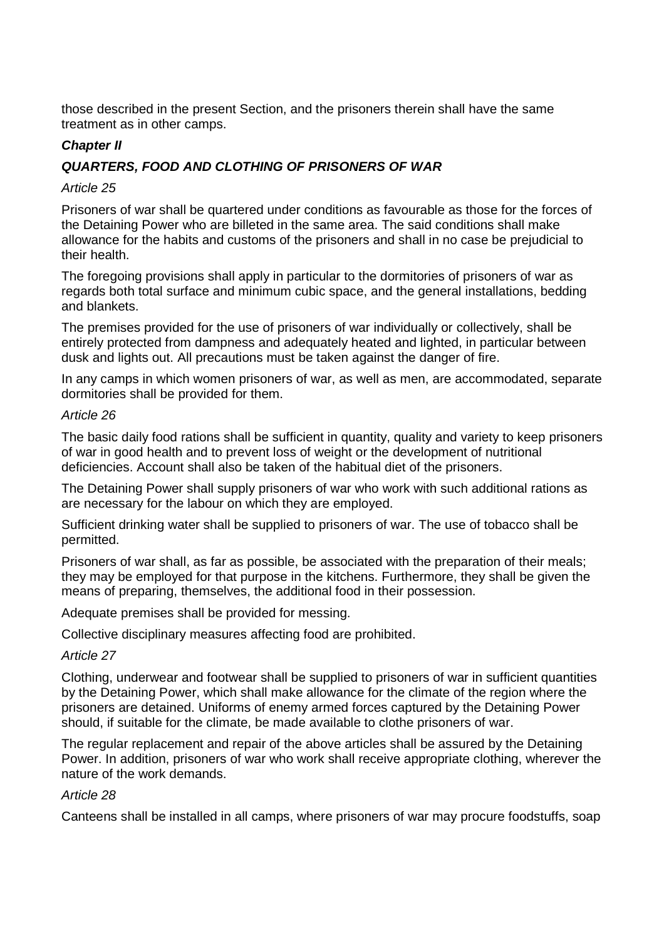those described in the present Section, and the prisoners therein shall have the same treatment as in other camps.

# **Chapter II**

### **QUARTERS, FOOD AND CLOTHING OF PRISONERS OF WAR**

#### Article 25

Prisoners of war shall be quartered under conditions as favourable as those for the forces of the Detaining Power who are billeted in the same area. The said conditions shall make allowance for the habits and customs of the prisoners and shall in no case be prejudicial to their health.

The foregoing provisions shall apply in particular to the dormitories of prisoners of war as regards both total surface and minimum cubic space, and the general installations, bedding and blankets.

The premises provided for the use of prisoners of war individually or collectively, shall be entirely protected from dampness and adequately heated and lighted, in particular between dusk and lights out. All precautions must be taken against the danger of fire.

In any camps in which women prisoners of war, as well as men, are accommodated, separate dormitories shall be provided for them.

#### Article 26

The basic daily food rations shall be sufficient in quantity, quality and variety to keep prisoners of war in good health and to prevent loss of weight or the development of nutritional deficiencies. Account shall also be taken of the habitual diet of the prisoners.

The Detaining Power shall supply prisoners of war who work with such additional rations as are necessary for the labour on which they are employed.

Sufficient drinking water shall be supplied to prisoners of war. The use of tobacco shall be permitted.

Prisoners of war shall, as far as possible, be associated with the preparation of their meals; they may be employed for that purpose in the kitchens. Furthermore, they shall be given the means of preparing, themselves, the additional food in their possession.

Adequate premises shall be provided for messing.

Collective disciplinary measures affecting food are prohibited.

#### Article 27

Clothing, underwear and footwear shall be supplied to prisoners of war in sufficient quantities by the Detaining Power, which shall make allowance for the climate of the region where the prisoners are detained. Uniforms of enemy armed forces captured by the Detaining Power should, if suitable for the climate, be made available to clothe prisoners of war.

The regular replacement and repair of the above articles shall be assured by the Detaining Power. In addition, prisoners of war who work shall receive appropriate clothing, wherever the nature of the work demands.

#### Article 28

Canteens shall be installed in all camps, where prisoners of war may procure foodstuffs, soap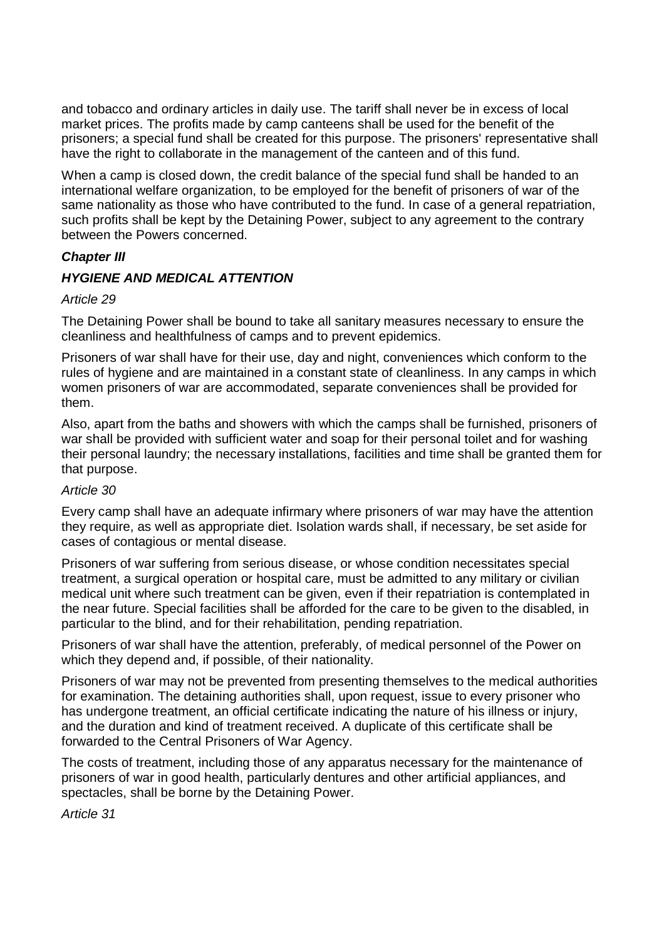and tobacco and ordinary articles in daily use. The tariff shall never be in excess of local market prices. The profits made by camp canteens shall be used for the benefit of the prisoners; a special fund shall be created for this purpose. The prisoners' representative shall have the right to collaborate in the management of the canteen and of this fund.

When a camp is closed down, the credit balance of the special fund shall be handed to an international welfare organization, to be employed for the benefit of prisoners of war of the same nationality as those who have contributed to the fund. In case of a general repatriation, such profits shall be kept by the Detaining Power, subject to any agreement to the contrary between the Powers concerned.

# **Chapter III**

# **HYGIENE AND MEDICAL ATTENTION**

# Article 29

The Detaining Power shall be bound to take all sanitary measures necessary to ensure the cleanliness and healthfulness of camps and to prevent epidemics.

Prisoners of war shall have for their use, day and night, conveniences which conform to the rules of hygiene and are maintained in a constant state of cleanliness. In any camps in which women prisoners of war are accommodated, separate conveniences shall be provided for them.

Also, apart from the baths and showers with which the camps shall be furnished, prisoners of war shall be provided with sufficient water and soap for their personal toilet and for washing their personal laundry; the necessary installations, facilities and time shall be granted them for that purpose.

# Article 30

Every camp shall have an adequate infirmary where prisoners of war may have the attention they require, as well as appropriate diet. Isolation wards shall, if necessary, be set aside for cases of contagious or mental disease.

Prisoners of war suffering from serious disease, or whose condition necessitates special treatment, a surgical operation or hospital care, must be admitted to any military or civilian medical unit where such treatment can be given, even if their repatriation is contemplated in the near future. Special facilities shall be afforded for the care to be given to the disabled, in particular to the blind, and for their rehabilitation, pending repatriation.

Prisoners of war shall have the attention, preferably, of medical personnel of the Power on which they depend and, if possible, of their nationality.

Prisoners of war may not be prevented from presenting themselves to the medical authorities for examination. The detaining authorities shall, upon request, issue to every prisoner who has undergone treatment, an official certificate indicating the nature of his illness or injury, and the duration and kind of treatment received. A duplicate of this certificate shall be forwarded to the Central Prisoners of War Agency.

The costs of treatment, including those of any apparatus necessary for the maintenance of prisoners of war in good health, particularly dentures and other artificial appliances, and spectacles, shall be borne by the Detaining Power.

Article 31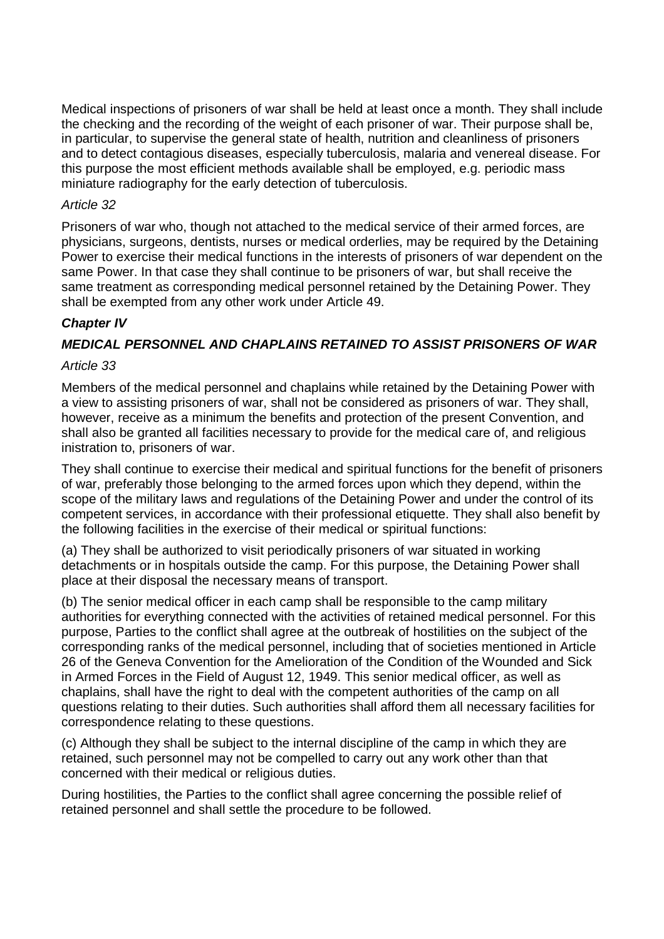Medical inspections of prisoners of war shall be held at least once a month. They shall include the checking and the recording of the weight of each prisoner of war. Their purpose shall be, in particular, to supervise the general state of health, nutrition and cleanliness of prisoners and to detect contagious diseases, especially tuberculosis, malaria and venereal disease. For this purpose the most efficient methods available shall be employed, e.g. periodic mass miniature radiography for the early detection of tuberculosis.

### Article 32

Prisoners of war who, though not attached to the medical service of their armed forces, are physicians, surgeons, dentists, nurses or medical orderlies, may be required by the Detaining Power to exercise their medical functions in the interests of prisoners of war dependent on the same Power. In that case they shall continue to be prisoners of war, but shall receive the same treatment as corresponding medical personnel retained by the Detaining Power. They shall be exempted from any other work under Article 49.

# **Chapter IV**

# **MEDICAL PERSONNEL AND CHAPLAINS RETAINED TO ASSIST PRISONERS OF WAR**

#### Article 33

Members of the medical personnel and chaplains while retained by the Detaining Power with a view to assisting prisoners of war, shall not be considered as prisoners of war. They shall, however, receive as a minimum the benefits and protection of the present Convention, and shall also be granted all facilities necessary to provide for the medical care of, and religious inistration to, prisoners of war.

They shall continue to exercise their medical and spiritual functions for the benefit of prisoners of war, preferably those belonging to the armed forces upon which they depend, within the scope of the military laws and regulations of the Detaining Power and under the control of its competent services, in accordance with their professional etiquette. They shall also benefit by the following facilities in the exercise of their medical or spiritual functions:

(a) They shall be authorized to visit periodically prisoners of war situated in working detachments or in hospitals outside the camp. For this purpose, the Detaining Power shall place at their disposal the necessary means of transport.

(b) The senior medical officer in each camp shall be responsible to the camp military authorities for everything connected with the activities of retained medical personnel. For this purpose, Parties to the conflict shall agree at the outbreak of hostilities on the subject of the corresponding ranks of the medical personnel, including that of societies mentioned in Article 26 of the Geneva Convention for the Amelioration of the Condition of the Wounded and Sick in Armed Forces in the Field of August 12, 1949. This senior medical officer, as well as chaplains, shall have the right to deal with the competent authorities of the camp on all questions relating to their duties. Such authorities shall afford them all necessary facilities for correspondence relating to these questions.

(c) Although they shall be subject to the internal discipline of the camp in which they are retained, such personnel may not be compelled to carry out any work other than that concerned with their medical or religious duties.

During hostilities, the Parties to the conflict shall agree concerning the possible relief of retained personnel and shall settle the procedure to be followed.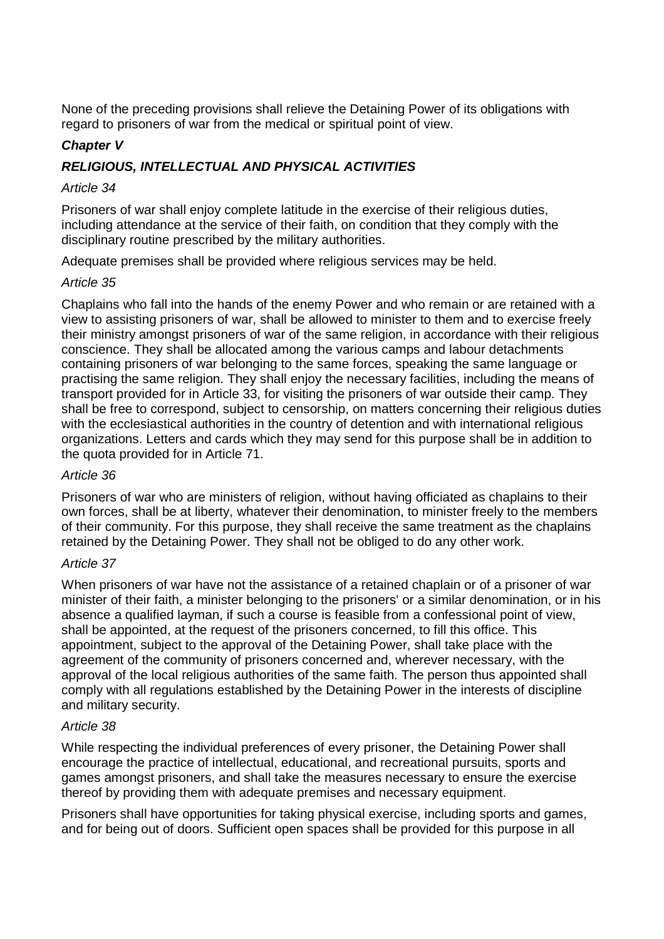None of the preceding provisions shall relieve the Detaining Power of its obligations with regard to prisoners of war from the medical or spiritual point of view.

# **Chapter V**

# **RELIGIOUS, INTELLECTUAL AND PHYSICAL ACTIVITIES**

### Article 34

Prisoners of war shall enjoy complete latitude in the exercise of their religious duties, including attendance at the service of their faith, on condition that they comply with the disciplinary routine prescribed by the military authorities.

Adequate premises shall be provided where religious services may be held.

# Article 35

Chaplains who fall into the hands of the enemy Power and who remain or are retained with a view to assisting prisoners of war, shall be allowed to minister to them and to exercise freely their ministry amongst prisoners of war of the same religion, in accordance with their religious conscience. They shall be allocated among the various camps and labour detachments containing prisoners of war belonging to the same forces, speaking the same language or practising the same religion. They shall enjoy the necessary facilities, including the means of transport provided for in Article 33, for visiting the prisoners of war outside their camp. They shall be free to correspond, subject to censorship, on matters concerning their religious duties with the ecclesiastical authorities in the country of detention and with international religious organizations. Letters and cards which they may send for this purpose shall be in addition to the quota provided for in Article 71.

# Article 36

Prisoners of war who are ministers of religion, without having officiated as chaplains to their own forces, shall be at liberty, whatever their denomination, to minister freely to the members of their community. For this purpose, they shall receive the same treatment as the chaplains retained by the Detaining Power. They shall not be obliged to do any other work.

# Article 37

When prisoners of war have not the assistance of a retained chaplain or of a prisoner of war minister of their faith, a minister belonging to the prisoners' or a similar denomination, or in his absence a qualified layman, if such a course is feasible from a confessional point of view, shall be appointed, at the request of the prisoners concerned, to fill this office. This appointment, subject to the approval of the Detaining Power, shall take place with the agreement of the community of prisoners concerned and, wherever necessary, with the approval of the local religious authorities of the same faith. The person thus appointed shall comply with all regulations established by the Detaining Power in the interests of discipline and military security.

# Article 38

While respecting the individual preferences of every prisoner, the Detaining Power shall encourage the practice of intellectual, educational, and recreational pursuits, sports and games amongst prisoners, and shall take the measures necessary to ensure the exercise thereof by providing them with adequate premises and necessary equipment.

Prisoners shall have opportunities for taking physical exercise, including sports and games, and for being out of doors. Sufficient open spaces shall be provided for this purpose in all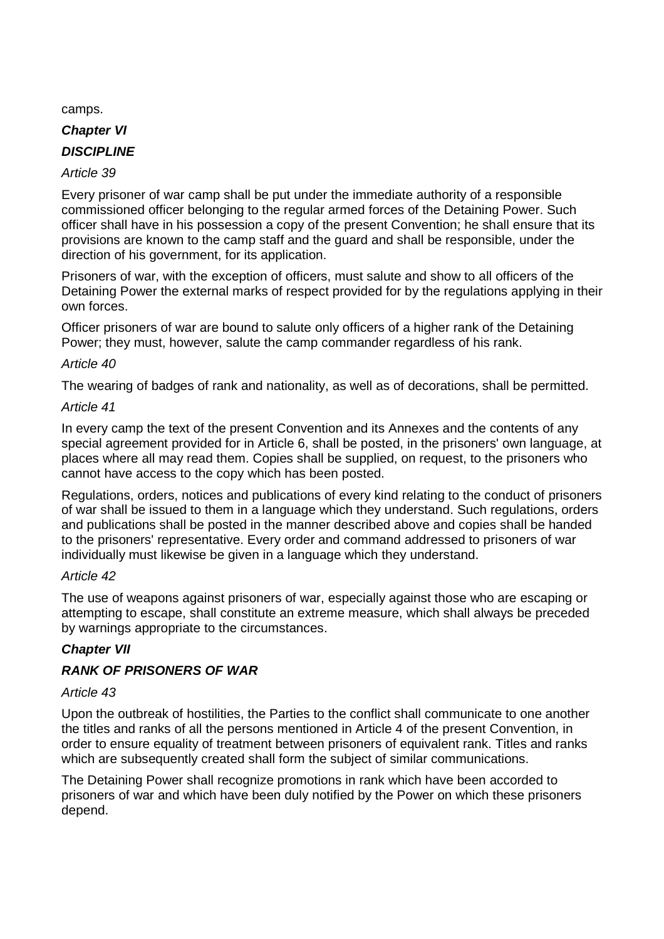camps.

# **Chapter VI**

# **DISCIPLINE**

# Article 39

Every prisoner of war camp shall be put under the immediate authority of a responsible commissioned officer belonging to the regular armed forces of the Detaining Power. Such officer shall have in his possession a copy of the present Convention; he shall ensure that its provisions are known to the camp staff and the guard and shall be responsible, under the direction of his government, for its application.

Prisoners of war, with the exception of officers, must salute and show to all officers of the Detaining Power the external marks of respect provided for by the regulations applying in their own forces.

Officer prisoners of war are bound to salute only officers of a higher rank of the Detaining Power; they must, however, salute the camp commander regardless of his rank.

# Article 40

The wearing of badges of rank and nationality, as well as of decorations, shall be permitted.

# Article 41

In every camp the text of the present Convention and its Annexes and the contents of any special agreement provided for in Article 6, shall be posted, in the prisoners' own language, at places where all may read them. Copies shall be supplied, on request, to the prisoners who cannot have access to the copy which has been posted.

Regulations, orders, notices and publications of every kind relating to the conduct of prisoners of war shall be issued to them in a language which they understand. Such regulations, orders and publications shall be posted in the manner described above and copies shall be handed to the prisoners' representative. Every order and command addressed to prisoners of war individually must likewise be given in a language which they understand.

# Article 42

The use of weapons against prisoners of war, especially against those who are escaping or attempting to escape, shall constitute an extreme measure, which shall always be preceded by warnings appropriate to the circumstances.

# **Chapter VII**

# **RANK OF PRISONERS OF WAR**

# Article 43

Upon the outbreak of hostilities, the Parties to the conflict shall communicate to one another the titles and ranks of all the persons mentioned in Article 4 of the present Convention, in order to ensure equality of treatment between prisoners of equivalent rank. Titles and ranks which are subsequently created shall form the subject of similar communications.

The Detaining Power shall recognize promotions in rank which have been accorded to prisoners of war and which have been duly notified by the Power on which these prisoners depend.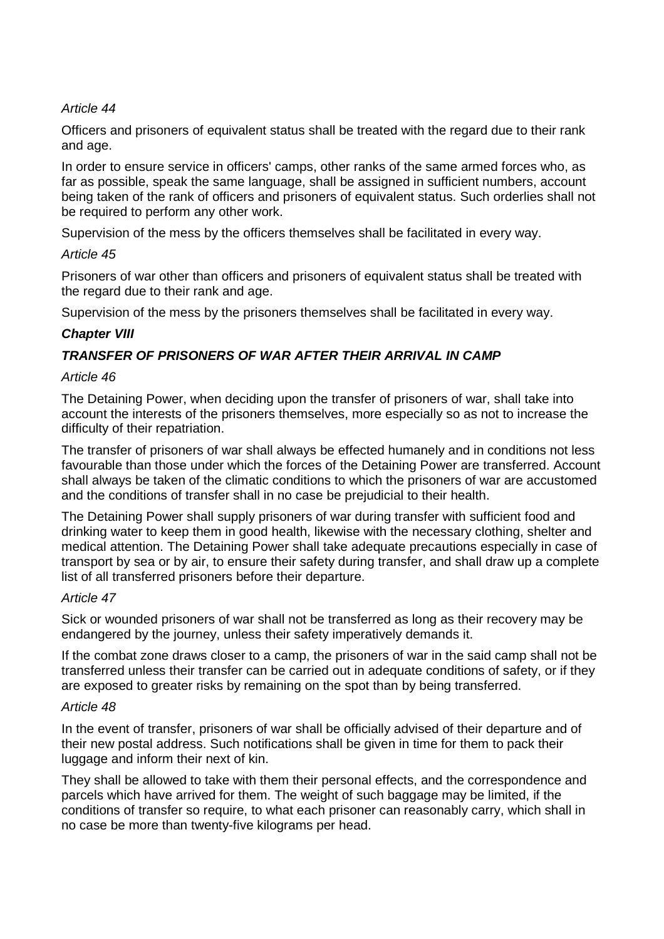# Article 44

Officers and prisoners of equivalent status shall be treated with the regard due to their rank and age.

In order to ensure service in officers' camps, other ranks of the same armed forces who, as far as possible, speak the same language, shall be assigned in sufficient numbers, account being taken of the rank of officers and prisoners of equivalent status. Such orderlies shall not be required to perform any other work.

Supervision of the mess by the officers themselves shall be facilitated in every way.

### Article 45

Prisoners of war other than officers and prisoners of equivalent status shall be treated with the regard due to their rank and age.

Supervision of the mess by the prisoners themselves shall be facilitated in every way.

# **Chapter VIII**

# **TRANSFER OF PRISONERS OF WAR AFTER THEIR ARRIVAL IN CAMP**

# Article 46

The Detaining Power, when deciding upon the transfer of prisoners of war, shall take into account the interests of the prisoners themselves, more especially so as not to increase the difficulty of their repatriation.

The transfer of prisoners of war shall always be effected humanely and in conditions not less favourable than those under which the forces of the Detaining Power are transferred. Account shall always be taken of the climatic conditions to which the prisoners of war are accustomed and the conditions of transfer shall in no case be prejudicial to their health.

The Detaining Power shall supply prisoners of war during transfer with sufficient food and drinking water to keep them in good health, likewise with the necessary clothing, shelter and medical attention. The Detaining Power shall take adequate precautions especially in case of transport by sea or by air, to ensure their safety during transfer, and shall draw up a complete list of all transferred prisoners before their departure.

# Article 47

Sick or wounded prisoners of war shall not be transferred as long as their recovery may be endangered by the journey, unless their safety imperatively demands it.

If the combat zone draws closer to a camp, the prisoners of war in the said camp shall not be transferred unless their transfer can be carried out in adequate conditions of safety, or if they are exposed to greater risks by remaining on the spot than by being transferred.

#### Article 48

In the event of transfer, prisoners of war shall be officially advised of their departure and of their new postal address. Such notifications shall be given in time for them to pack their luggage and inform their next of kin.

They shall be allowed to take with them their personal effects, and the correspondence and parcels which have arrived for them. The weight of such baggage may be limited, if the conditions of transfer so require, to what each prisoner can reasonably carry, which shall in no case be more than twenty-five kilograms per head.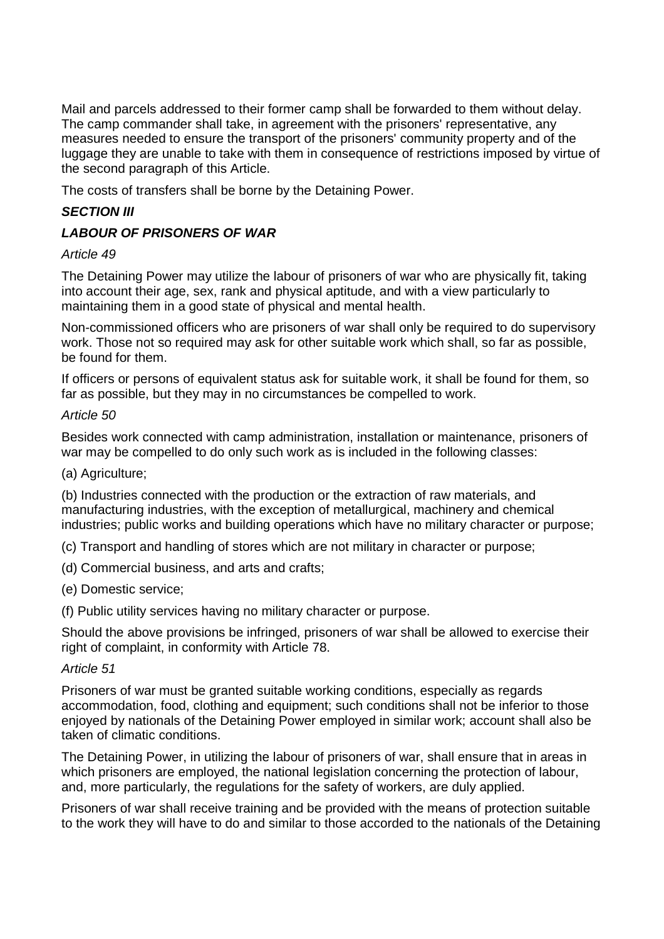Mail and parcels addressed to their former camp shall be forwarded to them without delay. The camp commander shall take, in agreement with the prisoners' representative, any measures needed to ensure the transport of the prisoners' community property and of the luggage they are unable to take with them in consequence of restrictions imposed by virtue of the second paragraph of this Article.

The costs of transfers shall be borne by the Detaining Power.

# **SECTION III**

# **LABOUR OF PRISONERS OF WAR**

### Article 49

The Detaining Power may utilize the labour of prisoners of war who are physically fit, taking into account their age, sex, rank and physical aptitude, and with a view particularly to maintaining them in a good state of physical and mental health.

Non-commissioned officers who are prisoners of war shall only be required to do supervisory work. Those not so required may ask for other suitable work which shall, so far as possible, be found for them.

If officers or persons of equivalent status ask for suitable work, it shall be found for them, so far as possible, but they may in no circumstances be compelled to work.

### Article 50

Besides work connected with camp administration, installation or maintenance, prisoners of war may be compelled to do only such work as is included in the following classes:

(a) Agriculture;

(b) Industries connected with the production or the extraction of raw materials, and manufacturing industries, with the exception of metallurgical, machinery and chemical industries; public works and building operations which have no military character or purpose;

(c) Transport and handling of stores which are not military in character or purpose;

(d) Commercial business, and arts and crafts;

(e) Domestic service;

(f) Public utility services having no military character or purpose.

Should the above provisions be infringed, prisoners of war shall be allowed to exercise their right of complaint, in conformity with Article 78.

#### Article 51

Prisoners of war must be granted suitable working conditions, especially as regards accommodation, food, clothing and equipment; such conditions shall not be inferior to those enjoyed by nationals of the Detaining Power employed in similar work; account shall also be taken of climatic conditions.

The Detaining Power, in utilizing the labour of prisoners of war, shall ensure that in areas in which prisoners are employed, the national legislation concerning the protection of labour, and, more particularly, the regulations for the safety of workers, are duly applied.

Prisoners of war shall receive training and be provided with the means of protection suitable to the work they will have to do and similar to those accorded to the nationals of the Detaining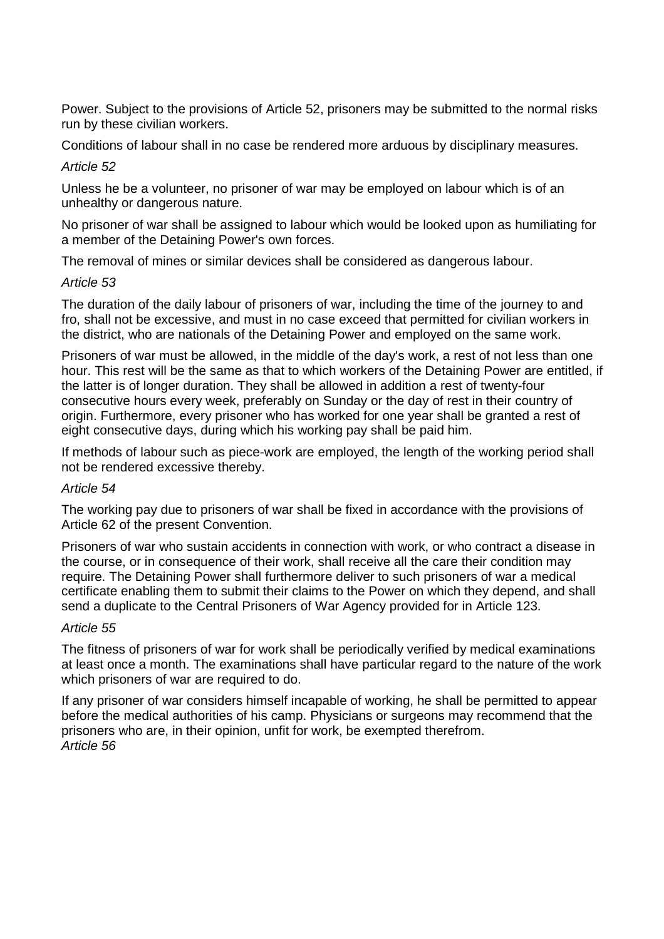Power. Subject to the provisions of Article 52, prisoners may be submitted to the normal risks run by these civilian workers.

Conditions of labour shall in no case be rendered more arduous by disciplinary measures.

### Article 52

Unless he be a volunteer, no prisoner of war may be employed on labour which is of an unhealthy or dangerous nature.

No prisoner of war shall be assigned to labour which would be looked upon as humiliating for a member of the Detaining Power's own forces.

The removal of mines or similar devices shall be considered as dangerous labour.

# Article 53

The duration of the daily labour of prisoners of war, including the time of the journey to and fro, shall not be excessive, and must in no case exceed that permitted for civilian workers in the district, who are nationals of the Detaining Power and employed on the same work.

Prisoners of war must be allowed, in the middle of the day's work, a rest of not less than one hour. This rest will be the same as that to which workers of the Detaining Power are entitled, if the latter is of longer duration. They shall be allowed in addition a rest of twenty-four consecutive hours every week, preferably on Sunday or the day of rest in their country of origin. Furthermore, every prisoner who has worked for one year shall be granted a rest of eight consecutive days, during which his working pay shall be paid him.

If methods of labour such as piece-work are employed, the length of the working period shall not be rendered excessive thereby.

#### Article 54

The working pay due to prisoners of war shall be fixed in accordance with the provisions of Article 62 of the present Convention.

Prisoners of war who sustain accidents in connection with work, or who contract a disease in the course, or in consequence of their work, shall receive all the care their condition may require. The Detaining Power shall furthermore deliver to such prisoners of war a medical certificate enabling them to submit their claims to the Power on which they depend, and shall send a duplicate to the Central Prisoners of War Agency provided for in Article 123.

# Article 55

The fitness of prisoners of war for work shall be periodically verified by medical examinations at least once a month. The examinations shall have particular regard to the nature of the work which prisoners of war are required to do.

If any prisoner of war considers himself incapable of working, he shall be permitted to appear before the medical authorities of his camp. Physicians or surgeons may recommend that the prisoners who are, in their opinion, unfit for work, be exempted therefrom. Article 56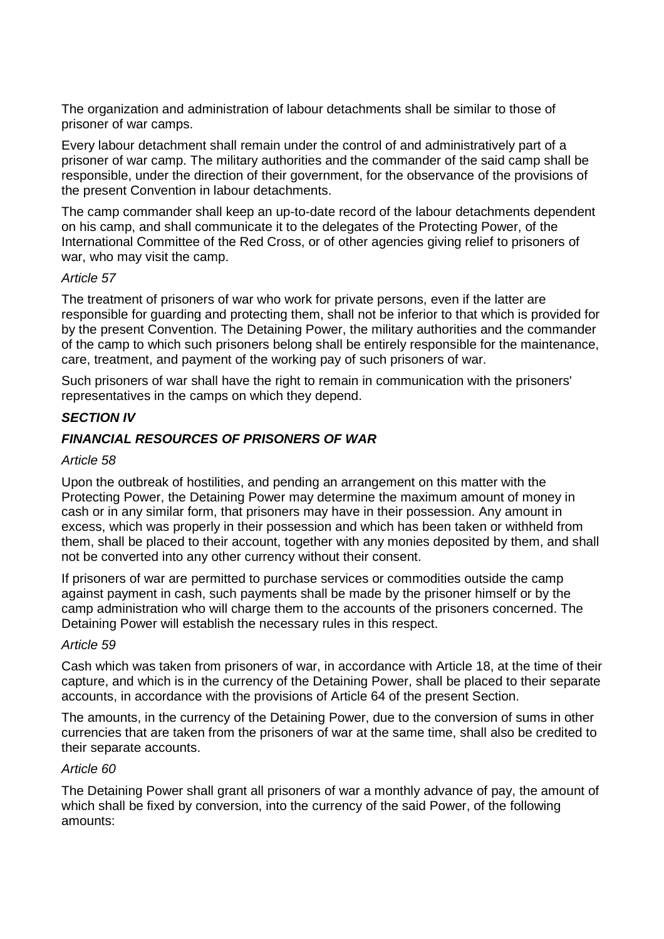The organization and administration of labour detachments shall be similar to those of prisoner of war camps.

Every labour detachment shall remain under the control of and administratively part of a prisoner of war camp. The military authorities and the commander of the said camp shall be responsible, under the direction of their government, for the observance of the provisions of the present Convention in labour detachments.

The camp commander shall keep an up-to-date record of the labour detachments dependent on his camp, and shall communicate it to the delegates of the Protecting Power, of the International Committee of the Red Cross, or of other agencies giving relief to prisoners of war, who may visit the camp.

### Article 57

The treatment of prisoners of war who work for private persons, even if the latter are responsible for guarding and protecting them, shall not be inferior to that which is provided for by the present Convention. The Detaining Power, the military authorities and the commander of the camp to which such prisoners belong shall be entirely responsible for the maintenance, care, treatment, and payment of the working pay of such prisoners of war.

Such prisoners of war shall have the right to remain in communication with the prisoners' representatives in the camps on which they depend.

### **SECTION IV**

# **FINANCIAL RESOURCES OF PRISONERS OF WAR**

#### Article 58

Upon the outbreak of hostilities, and pending an arrangement on this matter with the Protecting Power, the Detaining Power may determine the maximum amount of money in cash or in any similar form, that prisoners may have in their possession. Any amount in excess, which was properly in their possession and which has been taken or withheld from them, shall be placed to their account, together with any monies deposited by them, and shall not be converted into any other currency without their consent.

If prisoners of war are permitted to purchase services or commodities outside the camp against payment in cash, such payments shall be made by the prisoner himself or by the camp administration who will charge them to the accounts of the prisoners concerned. The Detaining Power will establish the necessary rules in this respect.

#### Article 59

Cash which was taken from prisoners of war, in accordance with Article 18, at the time of their capture, and which is in the currency of the Detaining Power, shall be placed to their separate accounts, in accordance with the provisions of Article 64 of the present Section.

The amounts, in the currency of the Detaining Power, due to the conversion of sums in other currencies that are taken from the prisoners of war at the same time, shall also be credited to their separate accounts.

#### Article 60

The Detaining Power shall grant all prisoners of war a monthly advance of pay, the amount of which shall be fixed by conversion, into the currency of the said Power, of the following amounts: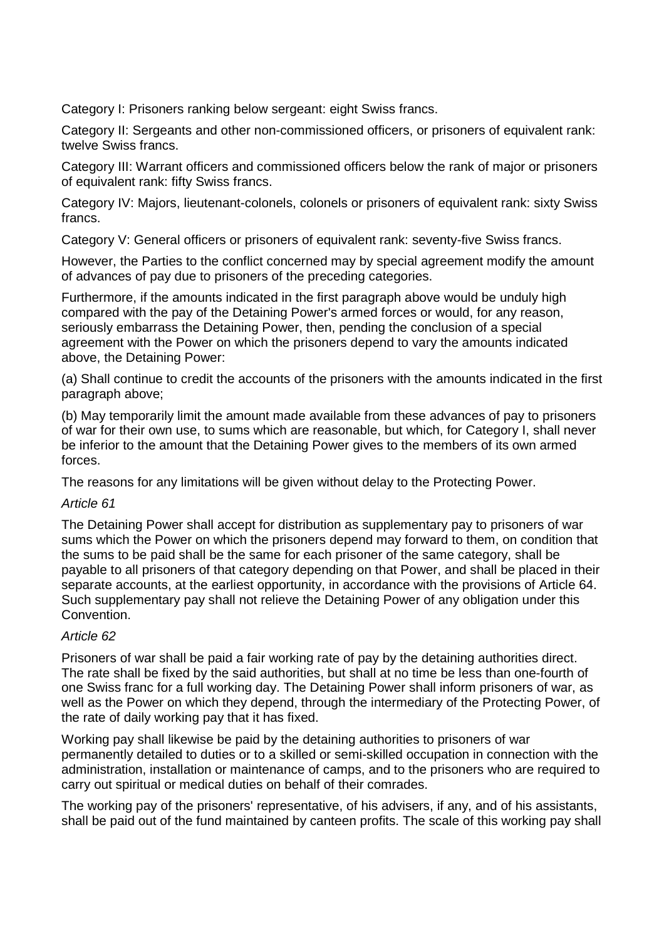Category I: Prisoners ranking below sergeant: eight Swiss francs.

Category II: Sergeants and other non-commissioned officers, or prisoners of equivalent rank: twelve Swiss francs.

Category III: Warrant officers and commissioned officers below the rank of major or prisoners of equivalent rank: fifty Swiss francs.

Category IV: Majors, lieutenant-colonels, colonels or prisoners of equivalent rank: sixty Swiss francs.

Category V: General officers or prisoners of equivalent rank: seventy-five Swiss francs.

However, the Parties to the conflict concerned may by special agreement modify the amount of advances of pay due to prisoners of the preceding categories.

Furthermore, if the amounts indicated in the first paragraph above would be unduly high compared with the pay of the Detaining Power's armed forces or would, for any reason, seriously embarrass the Detaining Power, then, pending the conclusion of a special agreement with the Power on which the prisoners depend to vary the amounts indicated above, the Detaining Power:

(a) Shall continue to credit the accounts of the prisoners with the amounts indicated in the first paragraph above;

(b) May temporarily limit the amount made available from these advances of pay to prisoners of war for their own use, to sums which are reasonable, but which, for Category I, shall never be inferior to the amount that the Detaining Power gives to the members of its own armed forces.

The reasons for any limitations will be given without delay to the Protecting Power.

#### Article 61

The Detaining Power shall accept for distribution as supplementary pay to prisoners of war sums which the Power on which the prisoners depend may forward to them, on condition that the sums to be paid shall be the same for each prisoner of the same category, shall be payable to all prisoners of that category depending on that Power, and shall be placed in their separate accounts, at the earliest opportunity, in accordance with the provisions of Article 64. Such supplementary pay shall not relieve the Detaining Power of any obligation under this Convention.

#### Article 62

Prisoners of war shall be paid a fair working rate of pay by the detaining authorities direct. The rate shall be fixed by the said authorities, but shall at no time be less than one-fourth of one Swiss franc for a full working day. The Detaining Power shall inform prisoners of war, as well as the Power on which they depend, through the intermediary of the Protecting Power, of the rate of daily working pay that it has fixed.

Working pay shall likewise be paid by the detaining authorities to prisoners of war permanently detailed to duties or to a skilled or semi-skilled occupation in connection with the administration, installation or maintenance of camps, and to the prisoners who are required to carry out spiritual or medical duties on behalf of their comrades.

The working pay of the prisoners' representative, of his advisers, if any, and of his assistants, shall be paid out of the fund maintained by canteen profits. The scale of this working pay shall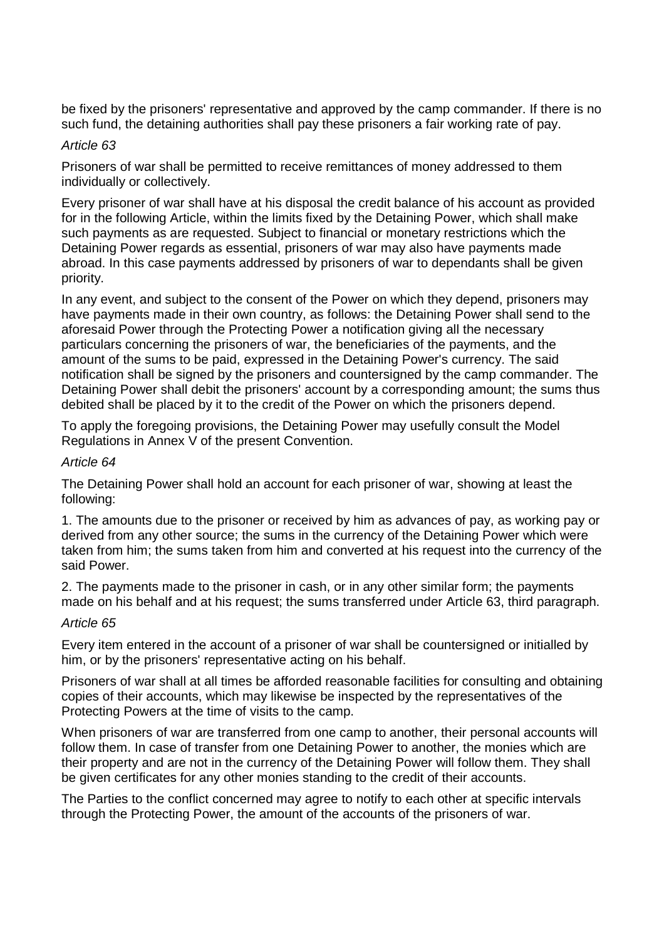be fixed by the prisoners' representative and approved by the camp commander. If there is no such fund, the detaining authorities shall pay these prisoners a fair working rate of pay.

### Article 63

Prisoners of war shall be permitted to receive remittances of money addressed to them individually or collectively.

Every prisoner of war shall have at his disposal the credit balance of his account as provided for in the following Article, within the limits fixed by the Detaining Power, which shall make such payments as are requested. Subject to financial or monetary restrictions which the Detaining Power regards as essential, prisoners of war may also have payments made abroad. In this case payments addressed by prisoners of war to dependants shall be given priority.

In any event, and subject to the consent of the Power on which they depend, prisoners may have payments made in their own country, as follows: the Detaining Power shall send to the aforesaid Power through the Protecting Power a notification giving all the necessary particulars concerning the prisoners of war, the beneficiaries of the payments, and the amount of the sums to be paid, expressed in the Detaining Power's currency. The said notification shall be signed by the prisoners and countersigned by the camp commander. The Detaining Power shall debit the prisoners' account by a corresponding amount; the sums thus debited shall be placed by it to the credit of the Power on which the prisoners depend.

To apply the foregoing provisions, the Detaining Power may usefully consult the Model Regulations in Annex V of the present Convention.

### Article 64

The Detaining Power shall hold an account for each prisoner of war, showing at least the following:

1. The amounts due to the prisoner or received by him as advances of pay, as working pay or derived from any other source; the sums in the currency of the Detaining Power which were taken from him; the sums taken from him and converted at his request into the currency of the said Power.

2. The payments made to the prisoner in cash, or in any other similar form; the payments made on his behalf and at his request; the sums transferred under Article 63, third paragraph.

#### Article 65

Every item entered in the account of a prisoner of war shall be countersigned or initialled by him, or by the prisoners' representative acting on his behalf.

Prisoners of war shall at all times be afforded reasonable facilities for consulting and obtaining copies of their accounts, which may likewise be inspected by the representatives of the Protecting Powers at the time of visits to the camp.

When prisoners of war are transferred from one camp to another, their personal accounts will follow them. In case of transfer from one Detaining Power to another, the monies which are their property and are not in the currency of the Detaining Power will follow them. They shall be given certificates for any other monies standing to the credit of their accounts.

The Parties to the conflict concerned may agree to notify to each other at specific intervals through the Protecting Power, the amount of the accounts of the prisoners of war.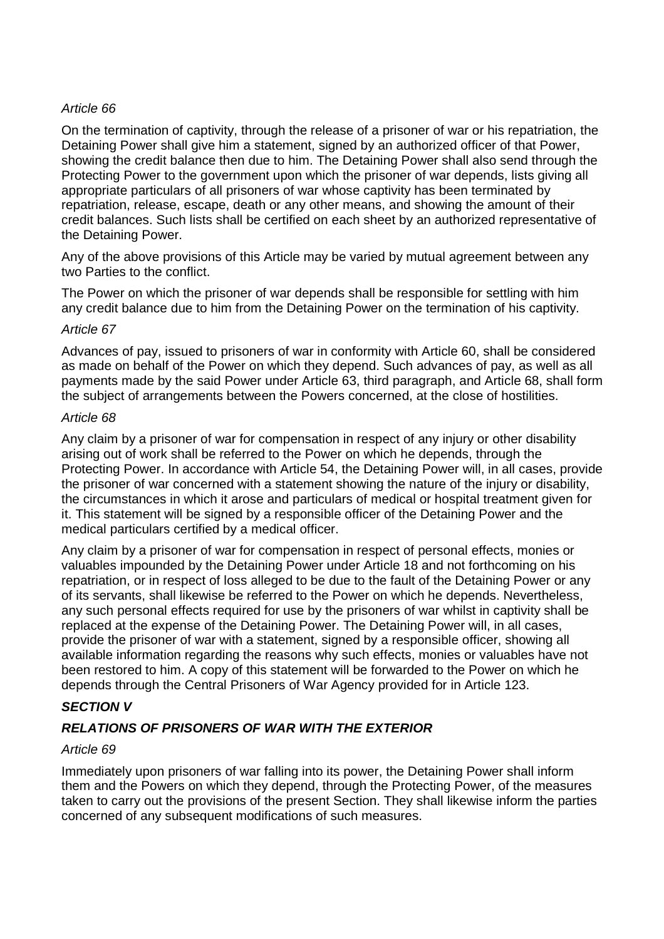# Article 66

On the termination of captivity, through the release of a prisoner of war or his repatriation, the Detaining Power shall give him a statement, signed by an authorized officer of that Power, showing the credit balance then due to him. The Detaining Power shall also send through the Protecting Power to the government upon which the prisoner of war depends, lists giving all appropriate particulars of all prisoners of war whose captivity has been terminated by repatriation, release, escape, death or any other means, and showing the amount of their credit balances. Such lists shall be certified on each sheet by an authorized representative of the Detaining Power.

Any of the above provisions of this Article may be varied by mutual agreement between any two Parties to the conflict.

The Power on which the prisoner of war depends shall be responsible for settling with him any credit balance due to him from the Detaining Power on the termination of his captivity.

#### Article 67

Advances of pay, issued to prisoners of war in conformity with Article 60, shall be considered as made on behalf of the Power on which they depend. Such advances of pay, as well as all payments made by the said Power under Article 63, third paragraph, and Article 68, shall form the subject of arrangements between the Powers concerned, at the close of hostilities.

#### Article 68

Any claim by a prisoner of war for compensation in respect of any injury or other disability arising out of work shall be referred to the Power on which he depends, through the Protecting Power. In accordance with Article 54, the Detaining Power will, in all cases, provide the prisoner of war concerned with a statement showing the nature of the injury or disability, the circumstances in which it arose and particulars of medical or hospital treatment given for it. This statement will be signed by a responsible officer of the Detaining Power and the medical particulars certified by a medical officer.

Any claim by a prisoner of war for compensation in respect of personal effects, monies or valuables impounded by the Detaining Power under Article 18 and not forthcoming on his repatriation, or in respect of loss alleged to be due to the fault of the Detaining Power or any of its servants, shall likewise be referred to the Power on which he depends. Nevertheless, any such personal effects required for use by the prisoners of war whilst in captivity shall be replaced at the expense of the Detaining Power. The Detaining Power will, in all cases, provide the prisoner of war with a statement, signed by a responsible officer, showing all available information regarding the reasons why such effects, monies or valuables have not been restored to him. A copy of this statement will be forwarded to the Power on which he depends through the Central Prisoners of War Agency provided for in Article 123.

### **SECTION V**

# **RELATIONS OF PRISONERS OF WAR WITH THE EXTERIOR**

#### Article 69

Immediately upon prisoners of war falling into its power, the Detaining Power shall inform them and the Powers on which they depend, through the Protecting Power, of the measures taken to carry out the provisions of the present Section. They shall likewise inform the parties concerned of any subsequent modifications of such measures.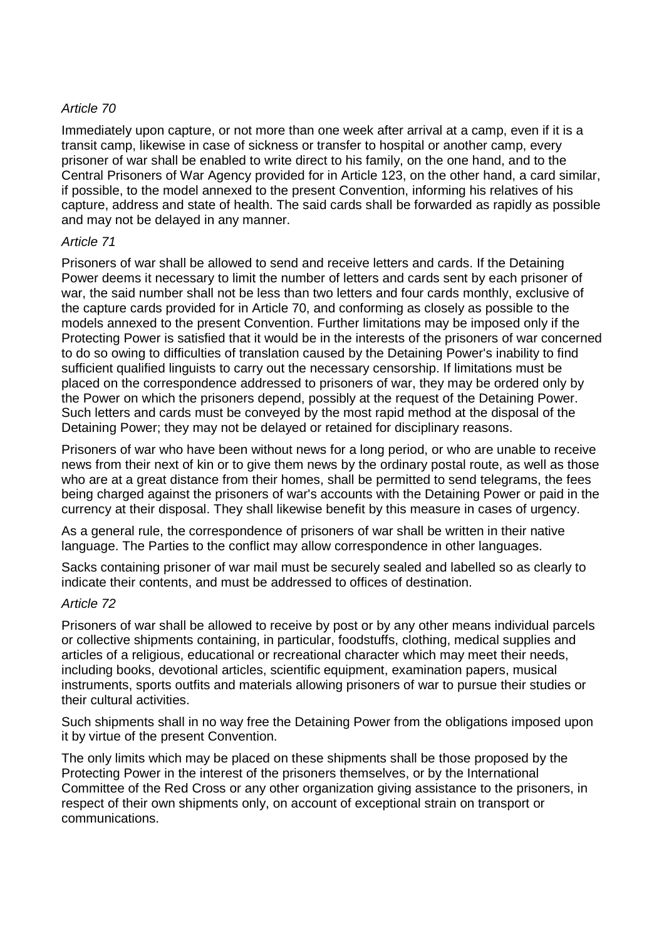### Article 70

Immediately upon capture, or not more than one week after arrival at a camp, even if it is a transit camp, likewise in case of sickness or transfer to hospital or another camp, every prisoner of war shall be enabled to write direct to his family, on the one hand, and to the Central Prisoners of War Agency provided for in Article 123, on the other hand, a card similar, if possible, to the model annexed to the present Convention, informing his relatives of his capture, address and state of health. The said cards shall be forwarded as rapidly as possible and may not be delayed in any manner.

### Article 71

Prisoners of war shall be allowed to send and receive letters and cards. If the Detaining Power deems it necessary to limit the number of letters and cards sent by each prisoner of war, the said number shall not be less than two letters and four cards monthly, exclusive of the capture cards provided for in Article 70, and conforming as closely as possible to the models annexed to the present Convention. Further limitations may be imposed only if the Protecting Power is satisfied that it would be in the interests of the prisoners of war concerned to do so owing to difficulties of translation caused by the Detaining Power's inability to find sufficient qualified linguists to carry out the necessary censorship. If limitations must be placed on the correspondence addressed to prisoners of war, they may be ordered only by the Power on which the prisoners depend, possibly at the request of the Detaining Power. Such letters and cards must be conveyed by the most rapid method at the disposal of the Detaining Power; they may not be delayed or retained for disciplinary reasons.

Prisoners of war who have been without news for a long period, or who are unable to receive news from their next of kin or to give them news by the ordinary postal route, as well as those who are at a great distance from their homes, shall be permitted to send telegrams, the fees being charged against the prisoners of war's accounts with the Detaining Power or paid in the currency at their disposal. They shall likewise benefit by this measure in cases of urgency.

As a general rule, the correspondence of prisoners of war shall be written in their native language. The Parties to the conflict may allow correspondence in other languages.

Sacks containing prisoner of war mail must be securely sealed and labelled so as clearly to indicate their contents, and must be addressed to offices of destination.

#### Article 72

Prisoners of war shall be allowed to receive by post or by any other means individual parcels or collective shipments containing, in particular, foodstuffs, clothing, medical supplies and articles of a religious, educational or recreational character which may meet their needs, including books, devotional articles, scientific equipment, examination papers, musical instruments, sports outfits and materials allowing prisoners of war to pursue their studies or their cultural activities.

Such shipments shall in no way free the Detaining Power from the obligations imposed upon it by virtue of the present Convention.

The only limits which may be placed on these shipments shall be those proposed by the Protecting Power in the interest of the prisoners themselves, or by the International Committee of the Red Cross or any other organization giving assistance to the prisoners, in respect of their own shipments only, on account of exceptional strain on transport or communications.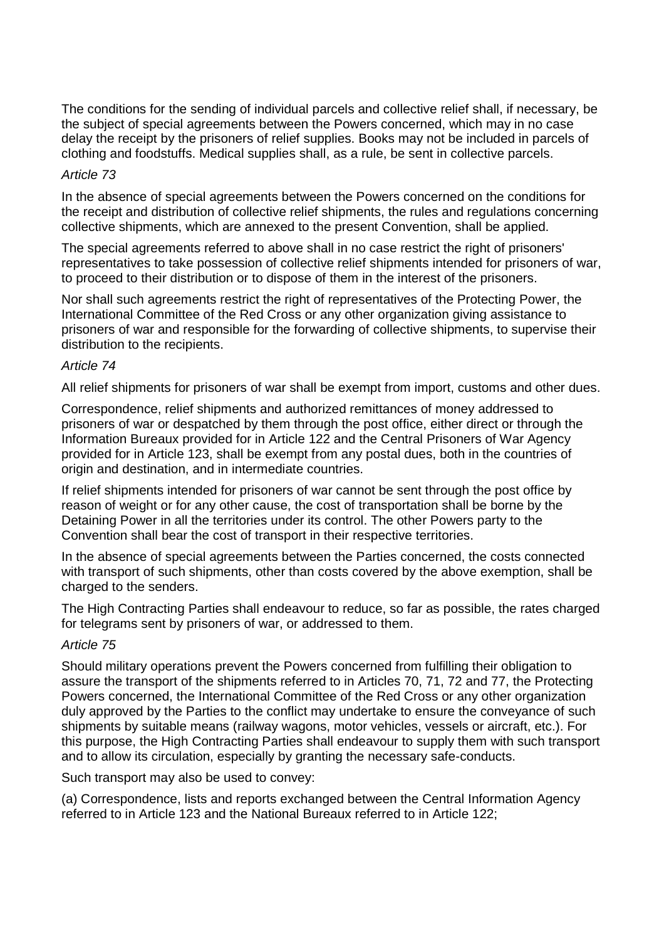The conditions for the sending of individual parcels and collective relief shall, if necessary, be the subject of special agreements between the Powers concerned, which may in no case delay the receipt by the prisoners of relief supplies. Books may not be included in parcels of clothing and foodstuffs. Medical supplies shall, as a rule, be sent in collective parcels.

### Article 73

In the absence of special agreements between the Powers concerned on the conditions for the receipt and distribution of collective relief shipments, the rules and regulations concerning collective shipments, which are annexed to the present Convention, shall be applied.

The special agreements referred to above shall in no case restrict the right of prisoners' representatives to take possession of collective relief shipments intended for prisoners of war, to proceed to their distribution or to dispose of them in the interest of the prisoners.

Nor shall such agreements restrict the right of representatives of the Protecting Power, the International Committee of the Red Cross or any other organization giving assistance to prisoners of war and responsible for the forwarding of collective shipments, to supervise their distribution to the recipients.

### Article 74

All relief shipments for prisoners of war shall be exempt from import, customs and other dues.

Correspondence, relief shipments and authorized remittances of money addressed to prisoners of war or despatched by them through the post office, either direct or through the Information Bureaux provided for in Article 122 and the Central Prisoners of War Agency provided for in Article 123, shall be exempt from any postal dues, both in the countries of origin and destination, and in intermediate countries.

If relief shipments intended for prisoners of war cannot be sent through the post office by reason of weight or for any other cause, the cost of transportation shall be borne by the Detaining Power in all the territories under its control. The other Powers party to the Convention shall bear the cost of transport in their respective territories.

In the absence of special agreements between the Parties concerned, the costs connected with transport of such shipments, other than costs covered by the above exemption, shall be charged to the senders.

The High Contracting Parties shall endeavour to reduce, so far as possible, the rates charged for telegrams sent by prisoners of war, or addressed to them.

#### Article 75

Should military operations prevent the Powers concerned from fulfilling their obligation to assure the transport of the shipments referred to in Articles 70, 71, 72 and 77, the Protecting Powers concerned, the International Committee of the Red Cross or any other organization duly approved by the Parties to the conflict may undertake to ensure the conveyance of such shipments by suitable means (railway wagons, motor vehicles, vessels or aircraft, etc.). For this purpose, the High Contracting Parties shall endeavour to supply them with such transport and to allow its circulation, especially by granting the necessary safe-conducts.

Such transport may also be used to convey:

(a) Correspondence, lists and reports exchanged between the Central Information Agency referred to in Article 123 and the National Bureaux referred to in Article 122;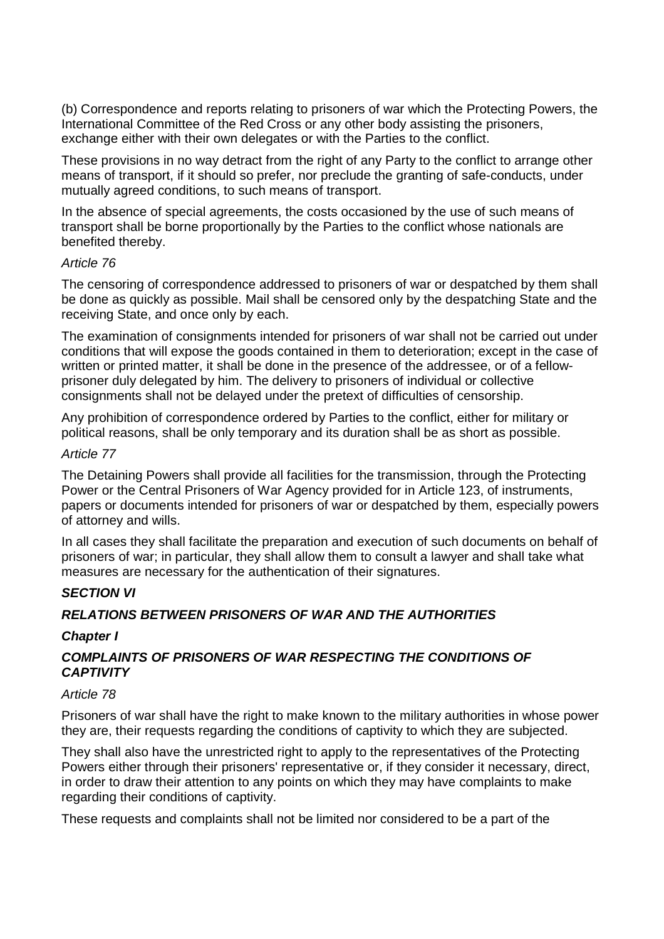(b) Correspondence and reports relating to prisoners of war which the Protecting Powers, the International Committee of the Red Cross or any other body assisting the prisoners, exchange either with their own delegates or with the Parties to the conflict.

These provisions in no way detract from the right of any Party to the conflict to arrange other means of transport, if it should so prefer, nor preclude the granting of safe-conducts, under mutually agreed conditions, to such means of transport.

In the absence of special agreements, the costs occasioned by the use of such means of transport shall be borne proportionally by the Parties to the conflict whose nationals are benefited thereby.

### Article 76

The censoring of correspondence addressed to prisoners of war or despatched by them shall be done as quickly as possible. Mail shall be censored only by the despatching State and the receiving State, and once only by each.

The examination of consignments intended for prisoners of war shall not be carried out under conditions that will expose the goods contained in them to deterioration; except in the case of written or printed matter, it shall be done in the presence of the addressee, or of a fellowprisoner duly delegated by him. The delivery to prisoners of individual or collective consignments shall not be delayed under the pretext of difficulties of censorship.

Any prohibition of correspondence ordered by Parties to the conflict, either for military or political reasons, shall be only temporary and its duration shall be as short as possible.

### Article 77

The Detaining Powers shall provide all facilities for the transmission, through the Protecting Power or the Central Prisoners of War Agency provided for in Article 123, of instruments, papers or documents intended for prisoners of war or despatched by them, especially powers of attorney and wills.

In all cases they shall facilitate the preparation and execution of such documents on behalf of prisoners of war; in particular, they shall allow them to consult a lawyer and shall take what measures are necessary for the authentication of their signatures.

# **SECTION VI**

# **RELATIONS BETWEEN PRISONERS OF WAR AND THE AUTHORITIES**

#### **Chapter I**

# **COMPLAINTS OF PRISONERS OF WAR RESPECTING THE CONDITIONS OF CAPTIVITY**

#### Article 78

Prisoners of war shall have the right to make known to the military authorities in whose power they are, their requests regarding the conditions of captivity to which they are subjected.

They shall also have the unrestricted right to apply to the representatives of the Protecting Powers either through their prisoners' representative or, if they consider it necessary, direct, in order to draw their attention to any points on which they may have complaints to make regarding their conditions of captivity.

These requests and complaints shall not be limited nor considered to be a part of the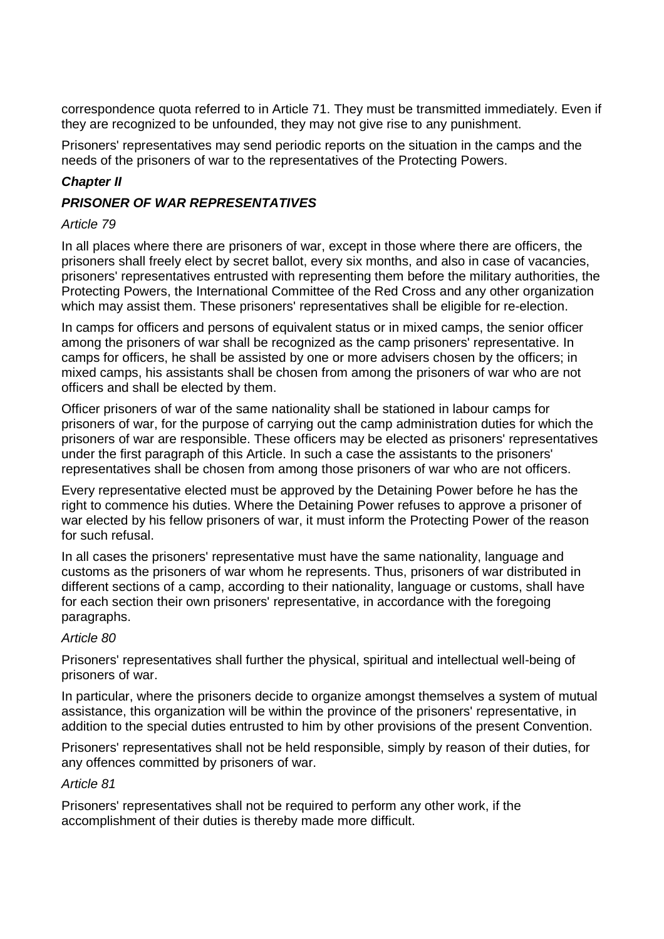correspondence quota referred to in Article 71. They must be transmitted immediately. Even if they are recognized to be unfounded, they may not give rise to any punishment.

Prisoners' representatives may send periodic reports on the situation in the camps and the needs of the prisoners of war to the representatives of the Protecting Powers.

# **Chapter II**

# **PRISONER OF WAR REPRESENTATIVES**

### Article 79

In all places where there are prisoners of war, except in those where there are officers, the prisoners shall freely elect by secret ballot, every six months, and also in case of vacancies, prisoners' representatives entrusted with representing them before the military authorities, the Protecting Powers, the International Committee of the Red Cross and any other organization which may assist them. These prisoners' representatives shall be eligible for re-election.

In camps for officers and persons of equivalent status or in mixed camps, the senior officer among the prisoners of war shall be recognized as the camp prisoners' representative. In camps for officers, he shall be assisted by one or more advisers chosen by the officers; in mixed camps, his assistants shall be chosen from among the prisoners of war who are not officers and shall be elected by them.

Officer prisoners of war of the same nationality shall be stationed in labour camps for prisoners of war, for the purpose of carrying out the camp administration duties for which the prisoners of war are responsible. These officers may be elected as prisoners' representatives under the first paragraph of this Article. In such a case the assistants to the prisoners' representatives shall be chosen from among those prisoners of war who are not officers.

Every representative elected must be approved by the Detaining Power before he has the right to commence his duties. Where the Detaining Power refuses to approve a prisoner of war elected by his fellow prisoners of war, it must inform the Protecting Power of the reason for such refusal.

In all cases the prisoners' representative must have the same nationality, language and customs as the prisoners of war whom he represents. Thus, prisoners of war distributed in different sections of a camp, according to their nationality, language or customs, shall have for each section their own prisoners' representative, in accordance with the foregoing paragraphs.

#### Article 80

Prisoners' representatives shall further the physical, spiritual and intellectual well-being of prisoners of war.

In particular, where the prisoners decide to organize amongst themselves a system of mutual assistance, this organization will be within the province of the prisoners' representative, in addition to the special duties entrusted to him by other provisions of the present Convention.

Prisoners' representatives shall not be held responsible, simply by reason of their duties, for any offences committed by prisoners of war.

### Article 81

Prisoners' representatives shall not be required to perform any other work, if the accomplishment of their duties is thereby made more difficult.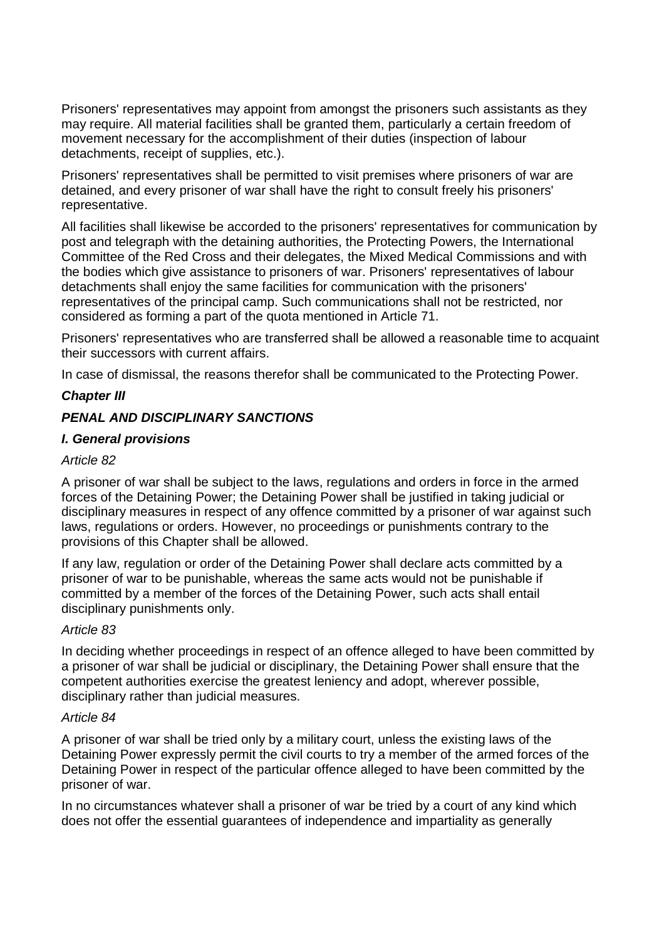Prisoners' representatives may appoint from amongst the prisoners such assistants as they may require. All material facilities shall be granted them, particularly a certain freedom of movement necessary for the accomplishment of their duties (inspection of labour detachments, receipt of supplies, etc.).

Prisoners' representatives shall be permitted to visit premises where prisoners of war are detained, and every prisoner of war shall have the right to consult freely his prisoners' representative.

All facilities shall likewise be accorded to the prisoners' representatives for communication by post and telegraph with the detaining authorities, the Protecting Powers, the International Committee of the Red Cross and their delegates, the Mixed Medical Commissions and with the bodies which give assistance to prisoners of war. Prisoners' representatives of labour detachments shall enjoy the same facilities for communication with the prisoners' representatives of the principal camp. Such communications shall not be restricted, nor considered as forming a part of the quota mentioned in Article 71.

Prisoners' representatives who are transferred shall be allowed a reasonable time to acquaint their successors with current affairs.

In case of dismissal, the reasons therefor shall be communicated to the Protecting Power.

# **Chapter III**

# **PENAL AND DISCIPLINARY SANCTIONS**

# **I. General provisions**

#### Article 82

A prisoner of war shall be subject to the laws, regulations and orders in force in the armed forces of the Detaining Power; the Detaining Power shall be justified in taking judicial or disciplinary measures in respect of any offence committed by a prisoner of war against such laws, regulations or orders. However, no proceedings or punishments contrary to the provisions of this Chapter shall be allowed.

If any law, regulation or order of the Detaining Power shall declare acts committed by a prisoner of war to be punishable, whereas the same acts would not be punishable if committed by a member of the forces of the Detaining Power, such acts shall entail disciplinary punishments only.

# Article 83

In deciding whether proceedings in respect of an offence alleged to have been committed by a prisoner of war shall be judicial or disciplinary, the Detaining Power shall ensure that the competent authorities exercise the greatest leniency and adopt, wherever possible, disciplinary rather than judicial measures.

#### Article 84

A prisoner of war shall be tried only by a military court, unless the existing laws of the Detaining Power expressly permit the civil courts to try a member of the armed forces of the Detaining Power in respect of the particular offence alleged to have been committed by the prisoner of war.

In no circumstances whatever shall a prisoner of war be tried by a court of any kind which does not offer the essential guarantees of independence and impartiality as generally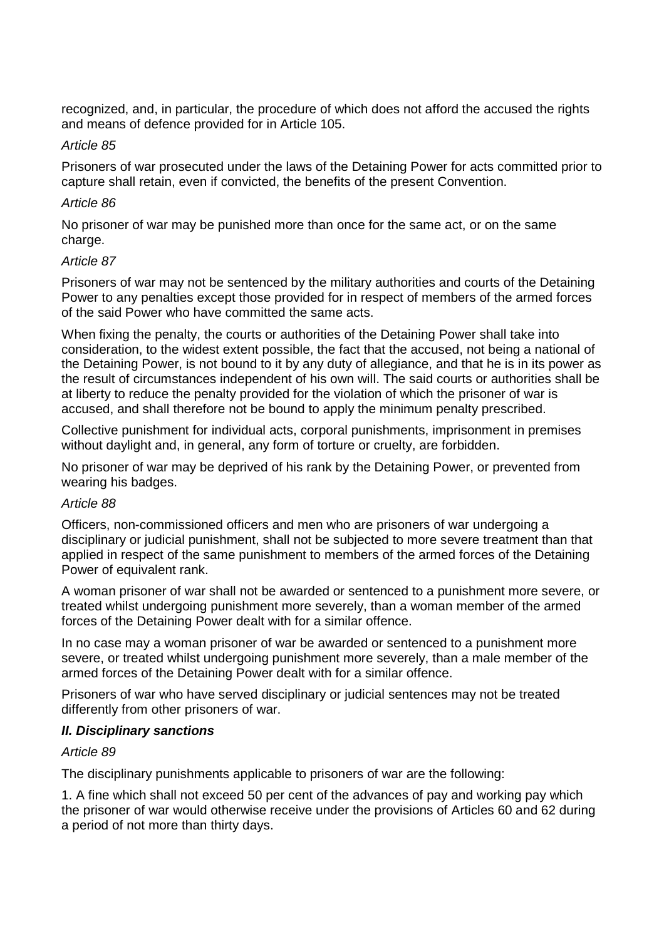recognized, and, in particular, the procedure of which does not afford the accused the rights and means of defence provided for in Article 105.

### Article 85

Prisoners of war prosecuted under the laws of the Detaining Power for acts committed prior to capture shall retain, even if convicted, the benefits of the present Convention.

# Article 86

No prisoner of war may be punished more than once for the same act, or on the same charge.

### Article 87

Prisoners of war may not be sentenced by the military authorities and courts of the Detaining Power to any penalties except those provided for in respect of members of the armed forces of the said Power who have committed the same acts.

When fixing the penalty, the courts or authorities of the Detaining Power shall take into consideration, to the widest extent possible, the fact that the accused, not being a national of the Detaining Power, is not bound to it by any duty of allegiance, and that he is in its power as the result of circumstances independent of his own will. The said courts or authorities shall be at liberty to reduce the penalty provided for the violation of which the prisoner of war is accused, and shall therefore not be bound to apply the minimum penalty prescribed.

Collective punishment for individual acts, corporal punishments, imprisonment in premises without daylight and, in general, any form of torture or cruelty, are forbidden.

No prisoner of war may be deprived of his rank by the Detaining Power, or prevented from wearing his badges.

#### Article 88

Officers, non-commissioned officers and men who are prisoners of war undergoing a disciplinary or judicial punishment, shall not be subjected to more severe treatment than that applied in respect of the same punishment to members of the armed forces of the Detaining Power of equivalent rank.

A woman prisoner of war shall not be awarded or sentenced to a punishment more severe, or treated whilst undergoing punishment more severely, than a woman member of the armed forces of the Detaining Power dealt with for a similar offence.

In no case may a woman prisoner of war be awarded or sentenced to a punishment more severe, or treated whilst undergoing punishment more severely, than a male member of the armed forces of the Detaining Power dealt with for a similar offence.

Prisoners of war who have served disciplinary or judicial sentences may not be treated differently from other prisoners of war.

# **II. Disciplinary sanctions**

#### Article 89

The disciplinary punishments applicable to prisoners of war are the following:

1. A fine which shall not exceed 50 per cent of the advances of pay and working pay which the prisoner of war would otherwise receive under the provisions of Articles 60 and 62 during a period of not more than thirty days.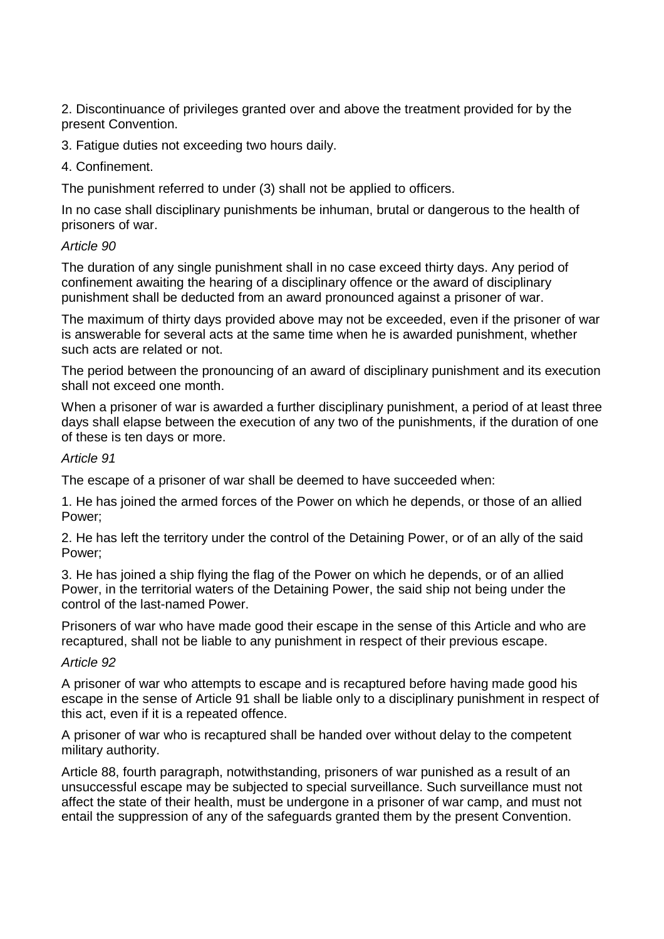2. Discontinuance of privileges granted over and above the treatment provided for by the present Convention.

3. Fatigue duties not exceeding two hours daily.

4. Confinement.

The punishment referred to under (3) shall not be applied to officers.

In no case shall disciplinary punishments be inhuman, brutal or dangerous to the health of prisoners of war.

### Article 90

The duration of any single punishment shall in no case exceed thirty days. Any period of confinement awaiting the hearing of a disciplinary offence or the award of disciplinary punishment shall be deducted from an award pronounced against a prisoner of war.

The maximum of thirty days provided above may not be exceeded, even if the prisoner of war is answerable for several acts at the same time when he is awarded punishment, whether such acts are related or not.

The period between the pronouncing of an award of disciplinary punishment and its execution shall not exceed one month.

When a prisoner of war is awarded a further disciplinary punishment, a period of at least three days shall elapse between the execution of any two of the punishments, if the duration of one of these is ten days or more.

### Article 91

The escape of a prisoner of war shall be deemed to have succeeded when:

1. He has joined the armed forces of the Power on which he depends, or those of an allied Power;

2. He has left the territory under the control of the Detaining Power, or of an ally of the said Power;

3. He has joined a ship flying the flag of the Power on which he depends, or of an allied Power, in the territorial waters of the Detaining Power, the said ship not being under the control of the last-named Power.

Prisoners of war who have made good their escape in the sense of this Article and who are recaptured, shall not be liable to any punishment in respect of their previous escape.

#### Article 92

A prisoner of war who attempts to escape and is recaptured before having made good his escape in the sense of Article 91 shall be liable only to a disciplinary punishment in respect of this act, even if it is a repeated offence.

A prisoner of war who is recaptured shall be handed over without delay to the competent military authority.

Article 88, fourth paragraph, notwithstanding, prisoners of war punished as a result of an unsuccessful escape may be subjected to special surveillance. Such surveillance must not affect the state of their health, must be undergone in a prisoner of war camp, and must not entail the suppression of any of the safeguards granted them by the present Convention.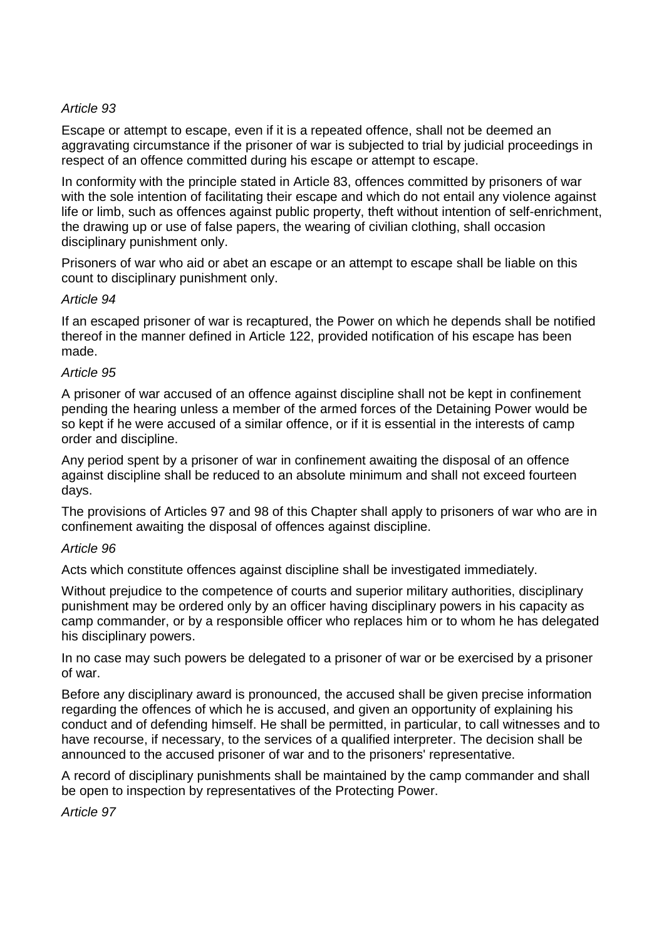### Article 93

Escape or attempt to escape, even if it is a repeated offence, shall not be deemed an aggravating circumstance if the prisoner of war is subjected to trial by judicial proceedings in respect of an offence committed during his escape or attempt to escape.

In conformity with the principle stated in Article 83, offences committed by prisoners of war with the sole intention of facilitating their escape and which do not entail any violence against life or limb, such as offences against public property, theft without intention of self-enrichment, the drawing up or use of false papers, the wearing of civilian clothing, shall occasion disciplinary punishment only.

Prisoners of war who aid or abet an escape or an attempt to escape shall be liable on this count to disciplinary punishment only.

### Article 94

If an escaped prisoner of war is recaptured, the Power on which he depends shall be notified thereof in the manner defined in Article 122, provided notification of his escape has been made.

#### Article 95

A prisoner of war accused of an offence against discipline shall not be kept in confinement pending the hearing unless a member of the armed forces of the Detaining Power would be so kept if he were accused of a similar offence, or if it is essential in the interests of camp order and discipline.

Any period spent by a prisoner of war in confinement awaiting the disposal of an offence against discipline shall be reduced to an absolute minimum and shall not exceed fourteen days.

The provisions of Articles 97 and 98 of this Chapter shall apply to prisoners of war who are in confinement awaiting the disposal of offences against discipline.

#### Article 96

Acts which constitute offences against discipline shall be investigated immediately.

Without prejudice to the competence of courts and superior military authorities, disciplinary punishment may be ordered only by an officer having disciplinary powers in his capacity as camp commander, or by a responsible officer who replaces him or to whom he has delegated his disciplinary powers.

In no case may such powers be delegated to a prisoner of war or be exercised by a prisoner of war.

Before any disciplinary award is pronounced, the accused shall be given precise information regarding the offences of which he is accused, and given an opportunity of explaining his conduct and of defending himself. He shall be permitted, in particular, to call witnesses and to have recourse, if necessary, to the services of a qualified interpreter. The decision shall be announced to the accused prisoner of war and to the prisoners' representative.

A record of disciplinary punishments shall be maintained by the camp commander and shall be open to inspection by representatives of the Protecting Power.

Article 97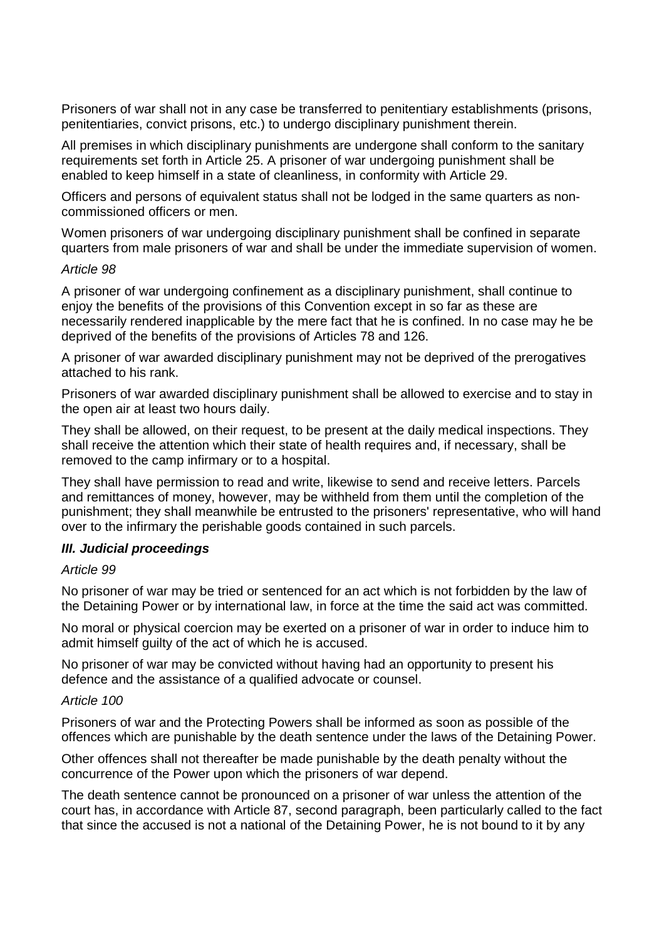Prisoners of war shall not in any case be transferred to penitentiary establishments (prisons, penitentiaries, convict prisons, etc.) to undergo disciplinary punishment therein.

All premises in which disciplinary punishments are undergone shall conform to the sanitary requirements set forth in Article 25. A prisoner of war undergoing punishment shall be enabled to keep himself in a state of cleanliness, in conformity with Article 29.

Officers and persons of equivalent status shall not be lodged in the same quarters as noncommissioned officers or men.

Women prisoners of war undergoing disciplinary punishment shall be confined in separate quarters from male prisoners of war and shall be under the immediate supervision of women.

#### Article 98

A prisoner of war undergoing confinement as a disciplinary punishment, shall continue to enjoy the benefits of the provisions of this Convention except in so far as these are necessarily rendered inapplicable by the mere fact that he is confined. In no case may he be deprived of the benefits of the provisions of Articles 78 and 126.

A prisoner of war awarded disciplinary punishment may not be deprived of the prerogatives attached to his rank.

Prisoners of war awarded disciplinary punishment shall be allowed to exercise and to stay in the open air at least two hours daily.

They shall be allowed, on their request, to be present at the daily medical inspections. They shall receive the attention which their state of health requires and, if necessary, shall be removed to the camp infirmary or to a hospital.

They shall have permission to read and write, likewise to send and receive letters. Parcels and remittances of money, however, may be withheld from them until the completion of the punishment; they shall meanwhile be entrusted to the prisoners' representative, who will hand over to the infirmary the perishable goods contained in such parcels.

#### **III. Judicial proceedings**

#### Article 99

No prisoner of war may be tried or sentenced for an act which is not forbidden by the law of the Detaining Power or by international law, in force at the time the said act was committed.

No moral or physical coercion may be exerted on a prisoner of war in order to induce him to admit himself guilty of the act of which he is accused.

No prisoner of war may be convicted without having had an opportunity to present his defence and the assistance of a qualified advocate or counsel.

#### Article 100

Prisoners of war and the Protecting Powers shall be informed as soon as possible of the offences which are punishable by the death sentence under the laws of the Detaining Power.

Other offences shall not thereafter be made punishable by the death penalty without the concurrence of the Power upon which the prisoners of war depend.

The death sentence cannot be pronounced on a prisoner of war unless the attention of the court has, in accordance with Article 87, second paragraph, been particularly called to the fact that since the accused is not a national of the Detaining Power, he is not bound to it by any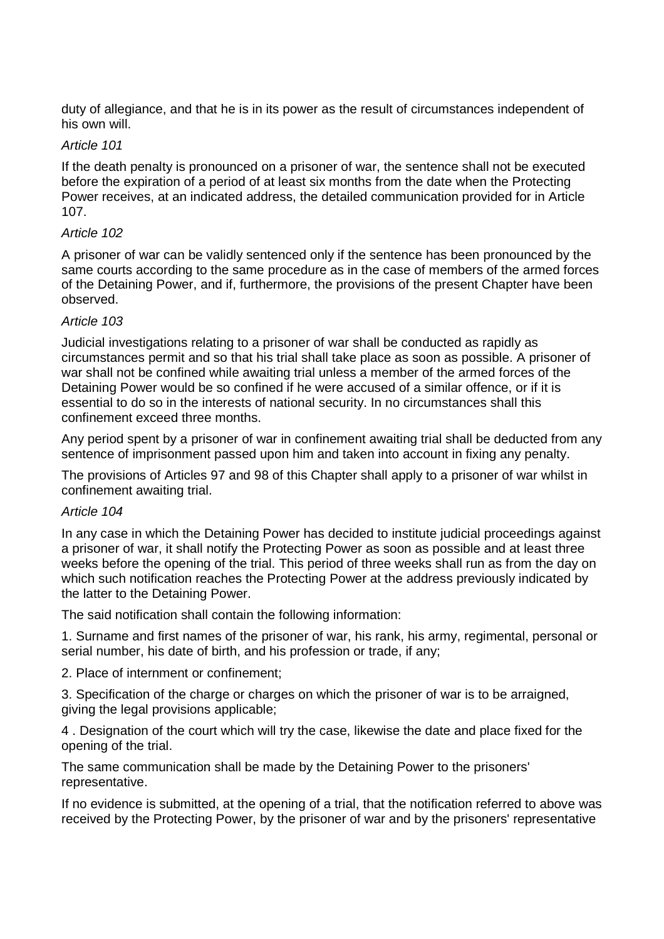duty of allegiance, and that he is in its power as the result of circumstances independent of his own will.

### Article 101

If the death penalty is pronounced on a prisoner of war, the sentence shall not be executed before the expiration of a period of at least six months from the date when the Protecting Power receives, at an indicated address, the detailed communication provided for in Article 107.

### Article 102

A prisoner of war can be validly sentenced only if the sentence has been pronounced by the same courts according to the same procedure as in the case of members of the armed forces of the Detaining Power, and if, furthermore, the provisions of the present Chapter have been observed.

### Article 103

Judicial investigations relating to a prisoner of war shall be conducted as rapidly as circumstances permit and so that his trial shall take place as soon as possible. A prisoner of war shall not be confined while awaiting trial unless a member of the armed forces of the Detaining Power would be so confined if he were accused of a similar offence, or if it is essential to do so in the interests of national security. In no circumstances shall this confinement exceed three months.

Any period spent by a prisoner of war in confinement awaiting trial shall be deducted from any sentence of imprisonment passed upon him and taken into account in fixing any penalty.

The provisions of Articles 97 and 98 of this Chapter shall apply to a prisoner of war whilst in confinement awaiting trial.

# Article 104

In any case in which the Detaining Power has decided to institute judicial proceedings against a prisoner of war, it shall notify the Protecting Power as soon as possible and at least three weeks before the opening of the trial. This period of three weeks shall run as from the day on which such notification reaches the Protecting Power at the address previously indicated by the latter to the Detaining Power.

The said notification shall contain the following information:

1. Surname and first names of the prisoner of war, his rank, his army, regimental, personal or serial number, his date of birth, and his profession or trade, if any;

2. Place of internment or confinement;

3. Specification of the charge or charges on which the prisoner of war is to be arraigned, giving the legal provisions applicable;

4 . Designation of the court which will try the case, likewise the date and place fixed for the opening of the trial.

The same communication shall be made by the Detaining Power to the prisoners' representative.

If no evidence is submitted, at the opening of a trial, that the notification referred to above was received by the Protecting Power, by the prisoner of war and by the prisoners' representative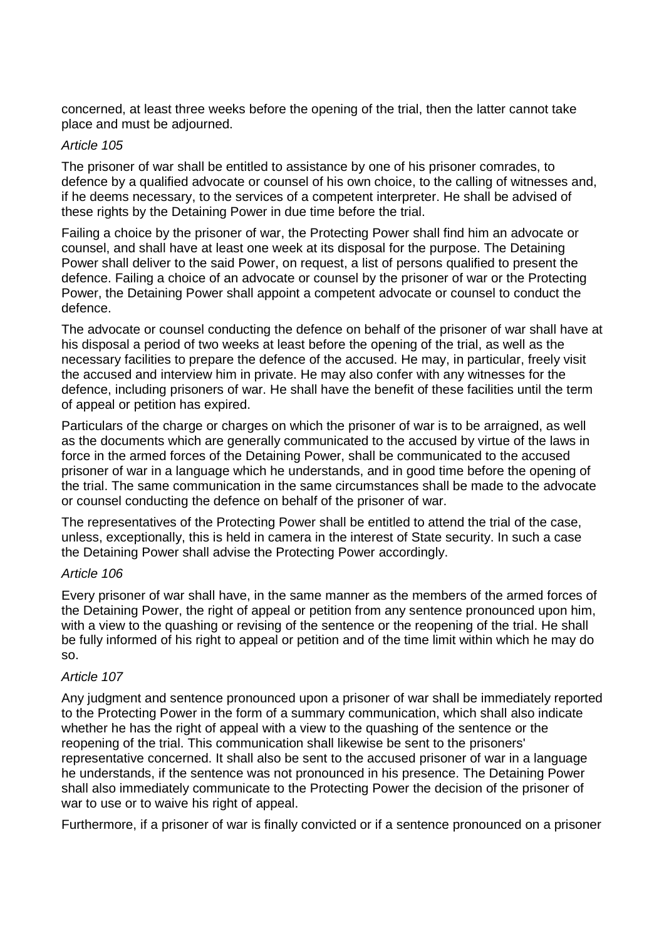concerned, at least three weeks before the opening of the trial, then the latter cannot take place and must be adjourned.

### Article 105

The prisoner of war shall be entitled to assistance by one of his prisoner comrades, to defence by a qualified advocate or counsel of his own choice, to the calling of witnesses and, if he deems necessary, to the services of a competent interpreter. He shall be advised of these rights by the Detaining Power in due time before the trial.

Failing a choice by the prisoner of war, the Protecting Power shall find him an advocate or counsel, and shall have at least one week at its disposal for the purpose. The Detaining Power shall deliver to the said Power, on request, a list of persons qualified to present the defence. Failing a choice of an advocate or counsel by the prisoner of war or the Protecting Power, the Detaining Power shall appoint a competent advocate or counsel to conduct the defence.

The advocate or counsel conducting the defence on behalf of the prisoner of war shall have at his disposal a period of two weeks at least before the opening of the trial, as well as the necessary facilities to prepare the defence of the accused. He may, in particular, freely visit the accused and interview him in private. He may also confer with any witnesses for the defence, including prisoners of war. He shall have the benefit of these facilities until the term of appeal or petition has expired.

Particulars of the charge or charges on which the prisoner of war is to be arraigned, as well as the documents which are generally communicated to the accused by virtue of the laws in force in the armed forces of the Detaining Power, shall be communicated to the accused prisoner of war in a language which he understands, and in good time before the opening of the trial. The same communication in the same circumstances shall be made to the advocate or counsel conducting the defence on behalf of the prisoner of war.

The representatives of the Protecting Power shall be entitled to attend the trial of the case, unless, exceptionally, this is held in camera in the interest of State security. In such a case the Detaining Power shall advise the Protecting Power accordingly.

# Article 106

Every prisoner of war shall have, in the same manner as the members of the armed forces of the Detaining Power, the right of appeal or petition from any sentence pronounced upon him, with a view to the quashing or revising of the sentence or the reopening of the trial. He shall be fully informed of his right to appeal or petition and of the time limit within which he may do so.

# Article 107

Any judgment and sentence pronounced upon a prisoner of war shall be immediately reported to the Protecting Power in the form of a summary communication, which shall also indicate whether he has the right of appeal with a view to the quashing of the sentence or the reopening of the trial. This communication shall likewise be sent to the prisoners' representative concerned. It shall also be sent to the accused prisoner of war in a language he understands, if the sentence was not pronounced in his presence. The Detaining Power shall also immediately communicate to the Protecting Power the decision of the prisoner of war to use or to waive his right of appeal.

Furthermore, if a prisoner of war is finally convicted or if a sentence pronounced on a prisoner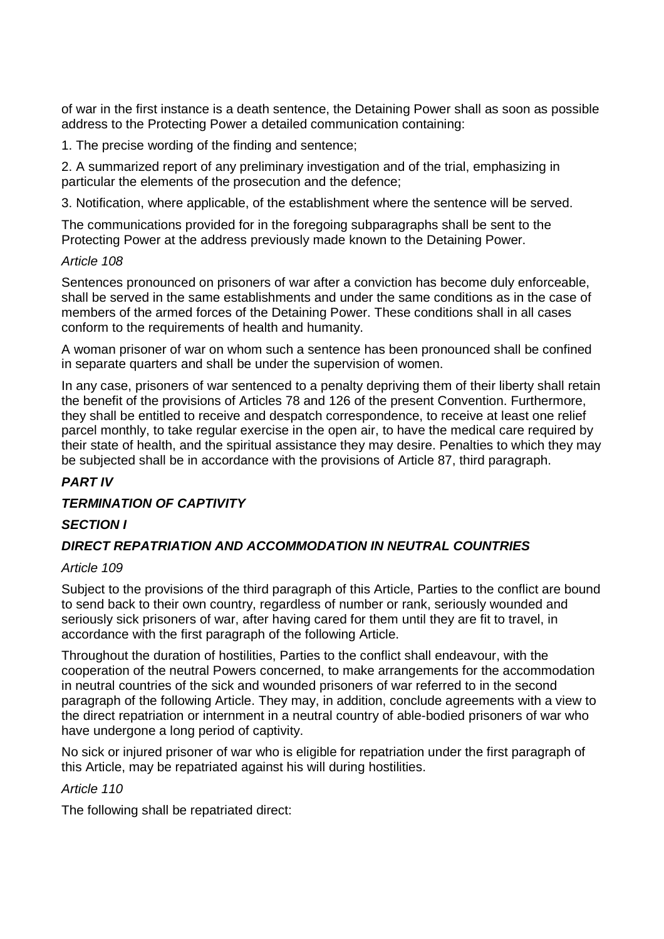of war in the first instance is a death sentence, the Detaining Power shall as soon as possible address to the Protecting Power a detailed communication containing:

1. The precise wording of the finding and sentence;

2. A summarized report of any preliminary investigation and of the trial, emphasizing in particular the elements of the prosecution and the defence;

3. Notification, where applicable, of the establishment where the sentence will be served.

The communications provided for in the foregoing subparagraphs shall be sent to the Protecting Power at the address previously made known to the Detaining Power.

### Article 108

Sentences pronounced on prisoners of war after a conviction has become duly enforceable, shall be served in the same establishments and under the same conditions as in the case of members of the armed forces of the Detaining Power. These conditions shall in all cases conform to the requirements of health and humanity.

A woman prisoner of war on whom such a sentence has been pronounced shall be confined in separate quarters and shall be under the supervision of women.

In any case, prisoners of war sentenced to a penalty depriving them of their liberty shall retain the benefit of the provisions of Articles 78 and 126 of the present Convention. Furthermore, they shall be entitled to receive and despatch correspondence, to receive at least one relief parcel monthly, to take regular exercise in the open air, to have the medical care required by their state of health, and the spiritual assistance they may desire. Penalties to which they may be subjected shall be in accordance with the provisions of Article 87, third paragraph.

# **PART IV**

# **TERMINATION OF CAPTIVITY**

# **SECTION I**

# **DIRECT REPATRIATION AND ACCOMMODATION IN NEUTRAL COUNTRIES**

#### Article 109

Subject to the provisions of the third paragraph of this Article, Parties to the conflict are bound to send back to their own country, regardless of number or rank, seriously wounded and seriously sick prisoners of war, after having cared for them until they are fit to travel, in accordance with the first paragraph of the following Article.

Throughout the duration of hostilities, Parties to the conflict shall endeavour, with the cooperation of the neutral Powers concerned, to make arrangements for the accommodation in neutral countries of the sick and wounded prisoners of war referred to in the second paragraph of the following Article. They may, in addition, conclude agreements with a view to the direct repatriation or internment in a neutral country of able-bodied prisoners of war who have undergone a long period of captivity.

No sick or injured prisoner of war who is eligible for repatriation under the first paragraph of this Article, may be repatriated against his will during hostilities.

#### Article 110

The following shall be repatriated direct: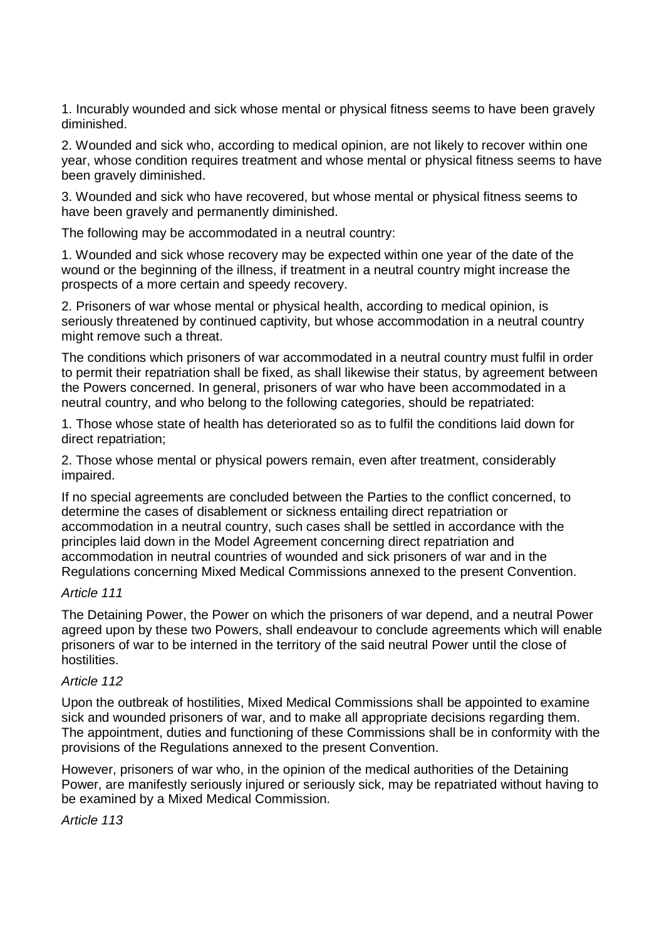1. Incurably wounded and sick whose mental or physical fitness seems to have been gravely diminished.

2. Wounded and sick who, according to medical opinion, are not likely to recover within one year, whose condition requires treatment and whose mental or physical fitness seems to have been gravely diminished.

3. Wounded and sick who have recovered, but whose mental or physical fitness seems to have been gravely and permanently diminished.

The following may be accommodated in a neutral country:

1. Wounded and sick whose recovery may be expected within one year of the date of the wound or the beginning of the illness, if treatment in a neutral country might increase the prospects of a more certain and speedy recovery.

2. Prisoners of war whose mental or physical health, according to medical opinion, is seriously threatened by continued captivity, but whose accommodation in a neutral country might remove such a threat.

The conditions which prisoners of war accommodated in a neutral country must fulfil in order to permit their repatriation shall be fixed, as shall likewise their status, by agreement between the Powers concerned. In general, prisoners of war who have been accommodated in a neutral country, and who belong to the following categories, should be repatriated:

1. Those whose state of health has deteriorated so as to fulfil the conditions laid down for direct repatriation;

2. Those whose mental or physical powers remain, even after treatment, considerably impaired.

If no special agreements are concluded between the Parties to the conflict concerned, to determine the cases of disablement or sickness entailing direct repatriation or accommodation in a neutral country, such cases shall be settled in accordance with the principles laid down in the Model Agreement concerning direct repatriation and accommodation in neutral countries of wounded and sick prisoners of war and in the Regulations concerning Mixed Medical Commissions annexed to the present Convention.

#### Article 111

The Detaining Power, the Power on which the prisoners of war depend, and a neutral Power agreed upon by these two Powers, shall endeavour to conclude agreements which will enable prisoners of war to be interned in the territory of the said neutral Power until the close of hostilities.

#### Article 112

Upon the outbreak of hostilities, Mixed Medical Commissions shall be appointed to examine sick and wounded prisoners of war, and to make all appropriate decisions regarding them. The appointment, duties and functioning of these Commissions shall be in conformity with the provisions of the Regulations annexed to the present Convention.

However, prisoners of war who, in the opinion of the medical authorities of the Detaining Power, are manifestly seriously injured or seriously sick, may be repatriated without having to be examined by a Mixed Medical Commission.

Article 113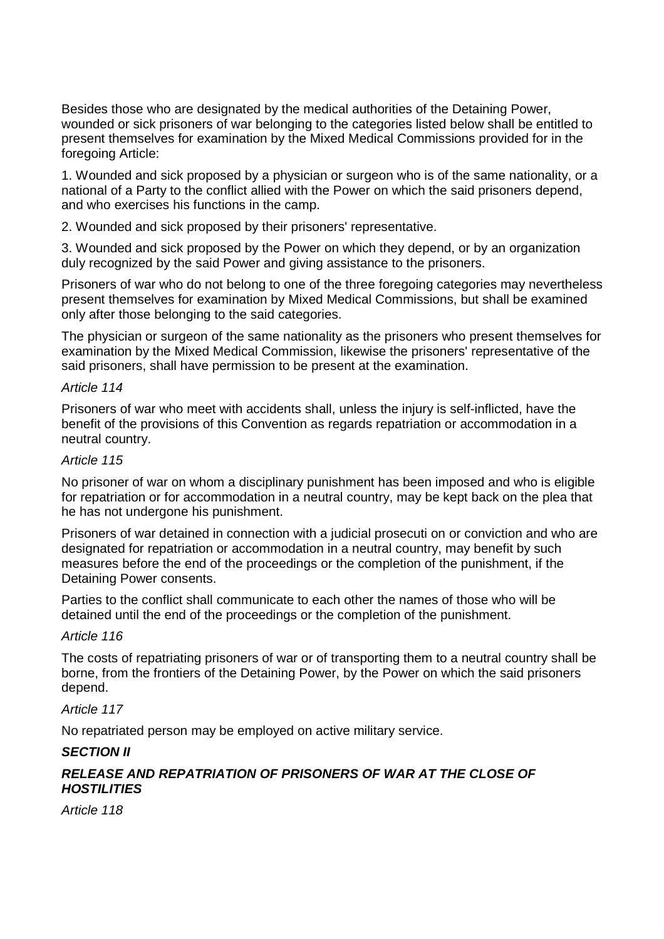Besides those who are designated by the medical authorities of the Detaining Power, wounded or sick prisoners of war belonging to the categories listed below shall be entitled to present themselves for examination by the Mixed Medical Commissions provided for in the foregoing Article:

1. Wounded and sick proposed by a physician or surgeon who is of the same nationality, or a national of a Party to the conflict allied with the Power on which the said prisoners depend, and who exercises his functions in the camp.

2. Wounded and sick proposed by their prisoners' representative.

3. Wounded and sick proposed by the Power on which they depend, or by an organization duly recognized by the said Power and giving assistance to the prisoners.

Prisoners of war who do not belong to one of the three foregoing categories may nevertheless present themselves for examination by Mixed Medical Commissions, but shall be examined only after those belonging to the said categories.

The physician or surgeon of the same nationality as the prisoners who present themselves for examination by the Mixed Medical Commission, likewise the prisoners' representative of the said prisoners, shall have permission to be present at the examination.

### Article 114

Prisoners of war who meet with accidents shall, unless the injury is self-inflicted, have the benefit of the provisions of this Convention as regards repatriation or accommodation in a neutral country.

### Article 115

No prisoner of war on whom a disciplinary punishment has been imposed and who is eligible for repatriation or for accommodation in a neutral country, may be kept back on the plea that he has not undergone his punishment.

Prisoners of war detained in connection with a judicial prosecuti on or conviction and who are designated for repatriation or accommodation in a neutral country, may benefit by such measures before the end of the proceedings or the completion of the punishment, if the Detaining Power consents.

Parties to the conflict shall communicate to each other the names of those who will be detained until the end of the proceedings or the completion of the punishment.

#### Article 116

The costs of repatriating prisoners of war or of transporting them to a neutral country shall be borne, from the frontiers of the Detaining Power, by the Power on which the said prisoners depend.

# Article 117

No repatriated person may be employed on active military service.

# **SECTION II**

# **RELEASE AND REPATRIATION OF PRISONERS OF WAR AT THE CLOSE OF HOSTILITIES**

Article 118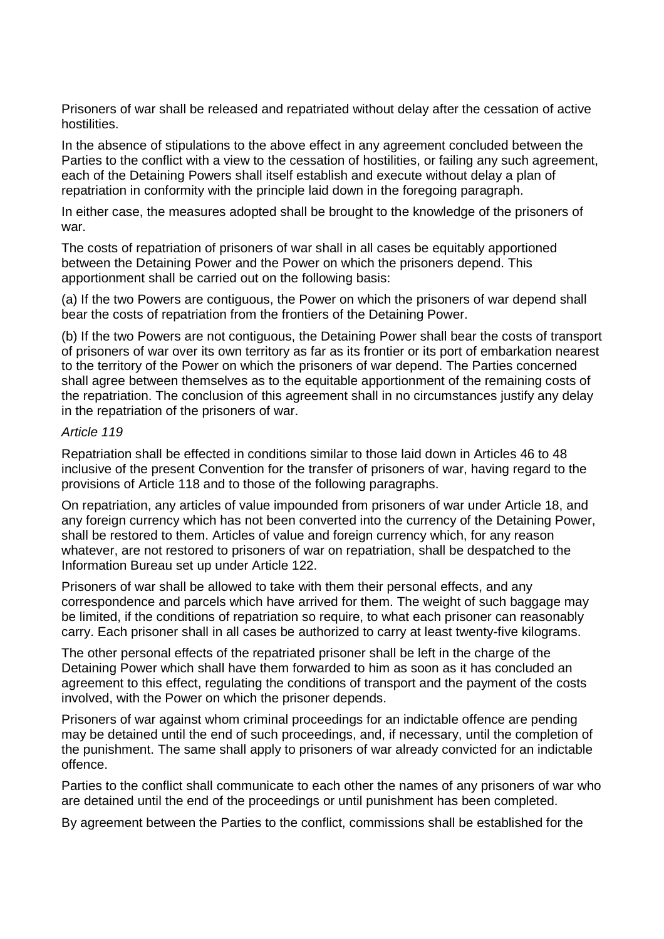Prisoners of war shall be released and repatriated without delay after the cessation of active hostilities.

In the absence of stipulations to the above effect in any agreement concluded between the Parties to the conflict with a view to the cessation of hostilities, or failing any such agreement, each of the Detaining Powers shall itself establish and execute without delay a plan of repatriation in conformity with the principle laid down in the foregoing paragraph.

In either case, the measures adopted shall be brought to the knowledge of the prisoners of war.

The costs of repatriation of prisoners of war shall in all cases be equitably apportioned between the Detaining Power and the Power on which the prisoners depend. This apportionment shall be carried out on the following basis:

(a) If the two Powers are contiguous, the Power on which the prisoners of war depend shall bear the costs of repatriation from the frontiers of the Detaining Power.

(b) If the two Powers are not contiguous, the Detaining Power shall bear the costs of transport of prisoners of war over its own territory as far as its frontier or its port of embarkation nearest to the territory of the Power on which the prisoners of war depend. The Parties concerned shall agree between themselves as to the equitable apportionment of the remaining costs of the repatriation. The conclusion of this agreement shall in no circumstances justify any delay in the repatriation of the prisoners of war.

### Article 119

Repatriation shall be effected in conditions similar to those laid down in Articles 46 to 48 inclusive of the present Convention for the transfer of prisoners of war, having regard to the provisions of Article 118 and to those of the following paragraphs.

On repatriation, any articles of value impounded from prisoners of war under Article 18, and any foreign currency which has not been converted into the currency of the Detaining Power, shall be restored to them. Articles of value and foreign currency which, for any reason whatever, are not restored to prisoners of war on repatriation, shall be despatched to the Information Bureau set up under Article 122.

Prisoners of war shall be allowed to take with them their personal effects, and any correspondence and parcels which have arrived for them. The weight of such baggage may be limited, if the conditions of repatriation so require, to what each prisoner can reasonably carry. Each prisoner shall in all cases be authorized to carry at least twenty-five kilograms.

The other personal effects of the repatriated prisoner shall be left in the charge of the Detaining Power which shall have them forwarded to him as soon as it has concluded an agreement to this effect, regulating the conditions of transport and the payment of the costs involved, with the Power on which the prisoner depends.

Prisoners of war against whom criminal proceedings for an indictable offence are pending may be detained until the end of such proceedings, and, if necessary, until the completion of the punishment. The same shall apply to prisoners of war already convicted for an indictable offence.

Parties to the conflict shall communicate to each other the names of any prisoners of war who are detained until the end of the proceedings or until punishment has been completed.

By agreement between the Parties to the conflict, commissions shall be established for the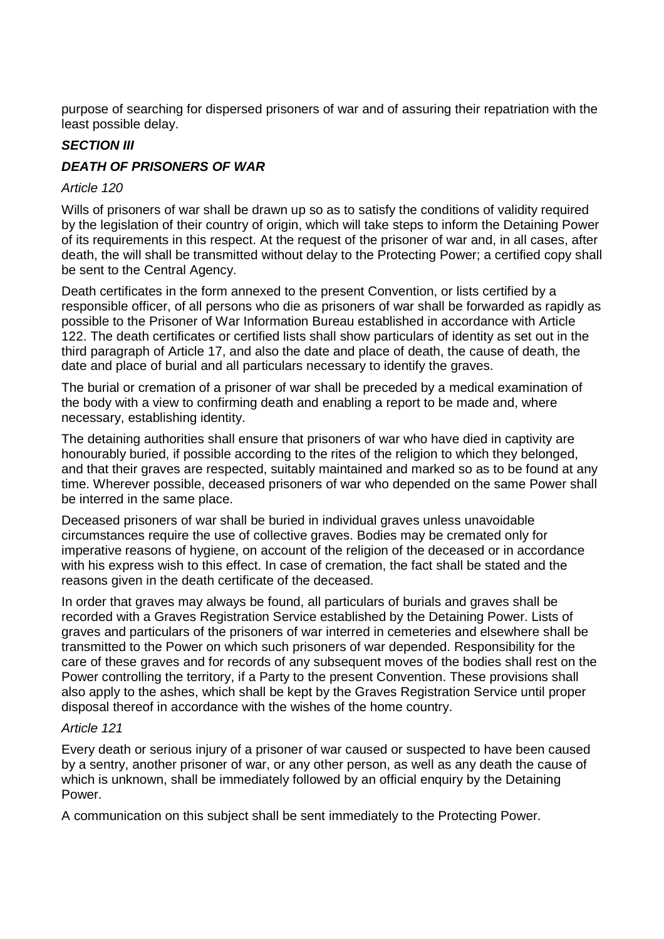purpose of searching for dispersed prisoners of war and of assuring their repatriation with the least possible delay.

### **SECTION III**

# **DEATH OF PRISONERS OF WAR**

### Article 120

Wills of prisoners of war shall be drawn up so as to satisfy the conditions of validity required by the legislation of their country of origin, which will take steps to inform the Detaining Power of its requirements in this respect. At the request of the prisoner of war and, in all cases, after death, the will shall be transmitted without delay to the Protecting Power; a certified copy shall be sent to the Central Agency.

Death certificates in the form annexed to the present Convention, or lists certified by a responsible officer, of all persons who die as prisoners of war shall be forwarded as rapidly as possible to the Prisoner of War Information Bureau established in accordance with Article 122. The death certificates or certified lists shall show particulars of identity as set out in the third paragraph of Article 17, and also the date and place of death, the cause of death, the date and place of burial and all particulars necessary to identify the graves.

The burial or cremation of a prisoner of war shall be preceded by a medical examination of the body with a view to confirming death and enabling a report to be made and, where necessary, establishing identity.

The detaining authorities shall ensure that prisoners of war who have died in captivity are honourably buried, if possible according to the rites of the religion to which they belonged, and that their graves are respected, suitably maintained and marked so as to be found at any time. Wherever possible, deceased prisoners of war who depended on the same Power shall be interred in the same place.

Deceased prisoners of war shall be buried in individual graves unless unavoidable circumstances require the use of collective graves. Bodies may be cremated only for imperative reasons of hygiene, on account of the religion of the deceased or in accordance with his express wish to this effect. In case of cremation, the fact shall be stated and the reasons given in the death certificate of the deceased.

In order that graves may always be found, all particulars of burials and graves shall be recorded with a Graves Registration Service established by the Detaining Power. Lists of graves and particulars of the prisoners of war interred in cemeteries and elsewhere shall be transmitted to the Power on which such prisoners of war depended. Responsibility for the care of these graves and for records of any subsequent moves of the bodies shall rest on the Power controlling the territory, if a Party to the present Convention. These provisions shall also apply to the ashes, which shall be kept by the Graves Registration Service until proper disposal thereof in accordance with the wishes of the home country.

#### Article 121

Every death or serious injury of a prisoner of war caused or suspected to have been caused by a sentry, another prisoner of war, or any other person, as well as any death the cause of which is unknown, shall be immediately followed by an official enquiry by the Detaining Power.

A communication on this subject shall be sent immediately to the Protecting Power.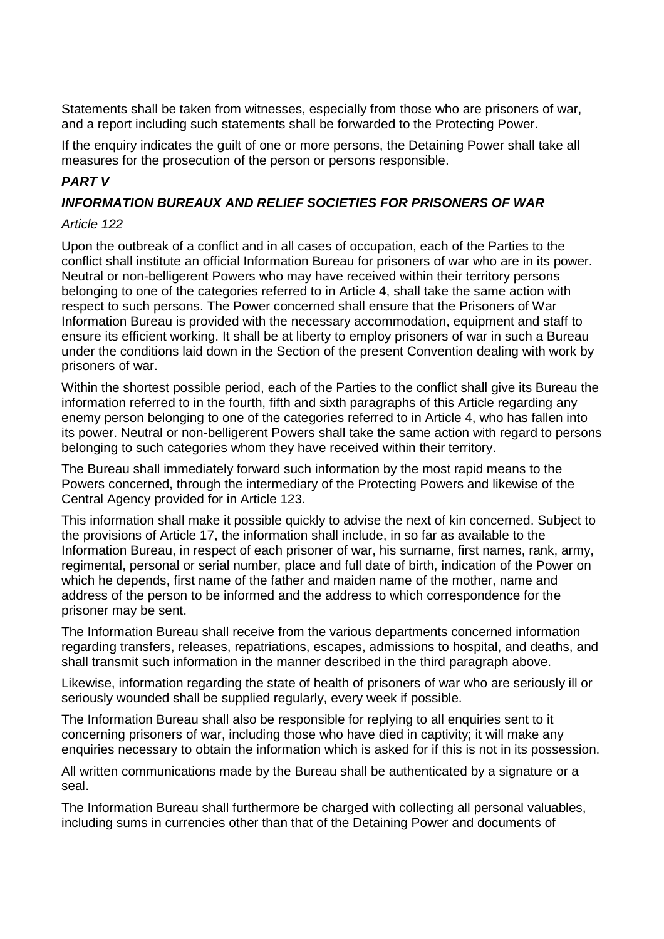Statements shall be taken from witnesses, especially from those who are prisoners of war, and a report including such statements shall be forwarded to the Protecting Power.

If the enquiry indicates the guilt of one or more persons, the Detaining Power shall take all measures for the prosecution of the person or persons responsible.

# **PART V**

# **INFORMATION BUREAUX AND RELIEF SOCIETIES FOR PRISONERS OF WAR**

### Article 122

Upon the outbreak of a conflict and in all cases of occupation, each of the Parties to the conflict shall institute an official Information Bureau for prisoners of war who are in its power. Neutral or non-belligerent Powers who may have received within their territory persons belonging to one of the categories referred to in Article 4, shall take the same action with respect to such persons. The Power concerned shall ensure that the Prisoners of War Information Bureau is provided with the necessary accommodation, equipment and staff to ensure its efficient working. It shall be at liberty to employ prisoners of war in such a Bureau under the conditions laid down in the Section of the present Convention dealing with work by prisoners of war.

Within the shortest possible period, each of the Parties to the conflict shall give its Bureau the information referred to in the fourth, fifth and sixth paragraphs of this Article regarding any enemy person belonging to one of the categories referred to in Article 4, who has fallen into its power. Neutral or non-belligerent Powers shall take the same action with regard to persons belonging to such categories whom they have received within their territory.

The Bureau shall immediately forward such information by the most rapid means to the Powers concerned, through the intermediary of the Protecting Powers and likewise of the Central Agency provided for in Article 123.

This information shall make it possible quickly to advise the next of kin concerned. Subject to the provisions of Article 17, the information shall include, in so far as available to the Information Bureau, in respect of each prisoner of war, his surname, first names, rank, army, regimental, personal or serial number, place and full date of birth, indication of the Power on which he depends, first name of the father and maiden name of the mother, name and address of the person to be informed and the address to which correspondence for the prisoner may be sent.

The Information Bureau shall receive from the various departments concerned information regarding transfers, releases, repatriations, escapes, admissions to hospital, and deaths, and shall transmit such information in the manner described in the third paragraph above.

Likewise, information regarding the state of health of prisoners of war who are seriously ill or seriously wounded shall be supplied regularly, every week if possible.

The Information Bureau shall also be responsible for replying to all enquiries sent to it concerning prisoners of war, including those who have died in captivity; it will make any enquiries necessary to obtain the information which is asked for if this is not in its possession.

All written communications made by the Bureau shall be authenticated by a signature or a seal.

The Information Bureau shall furthermore be charged with collecting all personal valuables, including sums in currencies other than that of the Detaining Power and documents of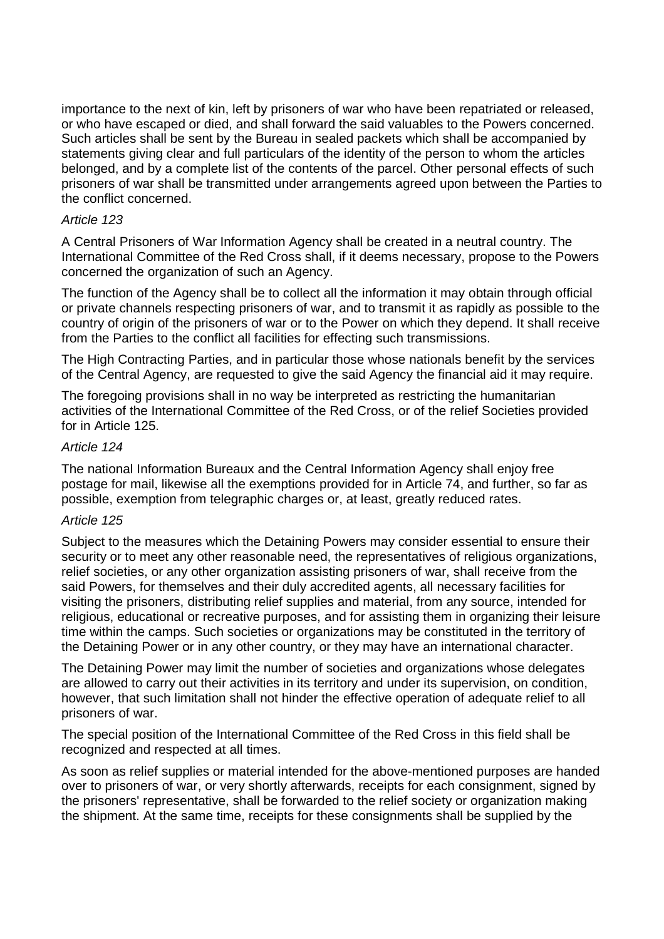importance to the next of kin, left by prisoners of war who have been repatriated or released, or who have escaped or died, and shall forward the said valuables to the Powers concerned. Such articles shall be sent by the Bureau in sealed packets which shall be accompanied by statements giving clear and full particulars of the identity of the person to whom the articles belonged, and by a complete list of the contents of the parcel. Other personal effects of such prisoners of war shall be transmitted under arrangements agreed upon between the Parties to the conflict concerned.

### Article 123

A Central Prisoners of War Information Agency shall be created in a neutral country. The International Committee of the Red Cross shall, if it deems necessary, propose to the Powers concerned the organization of such an Agency.

The function of the Agency shall be to collect all the information it may obtain through official or private channels respecting prisoners of war, and to transmit it as rapidly as possible to the country of origin of the prisoners of war or to the Power on which they depend. It shall receive from the Parties to the conflict all facilities for effecting such transmissions.

The High Contracting Parties, and in particular those whose nationals benefit by the services of the Central Agency, are requested to give the said Agency the financial aid it may require.

The foregoing provisions shall in no way be interpreted as restricting the humanitarian activities of the International Committee of the Red Cross, or of the relief Societies provided for in Article 125.

#### Article 124

The national Information Bureaux and the Central Information Agency shall enjoy free postage for mail, likewise all the exemptions provided for in Article 74, and further, so far as possible, exemption from telegraphic charges or, at least, greatly reduced rates.

#### Article 125

Subject to the measures which the Detaining Powers may consider essential to ensure their security or to meet any other reasonable need, the representatives of religious organizations, relief societies, or any other organization assisting prisoners of war, shall receive from the said Powers, for themselves and their duly accredited agents, all necessary facilities for visiting the prisoners, distributing relief supplies and material, from any source, intended for religious, educational or recreative purposes, and for assisting them in organizing their leisure time within the camps. Such societies or organizations may be constituted in the territory of the Detaining Power or in any other country, or they may have an international character.

The Detaining Power may limit the number of societies and organizations whose delegates are allowed to carry out their activities in its territory and under its supervision, on condition, however, that such limitation shall not hinder the effective operation of adequate relief to all prisoners of war.

The special position of the International Committee of the Red Cross in this field shall be recognized and respected at all times.

As soon as relief supplies or material intended for the above-mentioned purposes are handed over to prisoners of war, or very shortly afterwards, receipts for each consignment, signed by the prisoners' representative, shall be forwarded to the relief society or organization making the shipment. At the same time, receipts for these consignments shall be supplied by the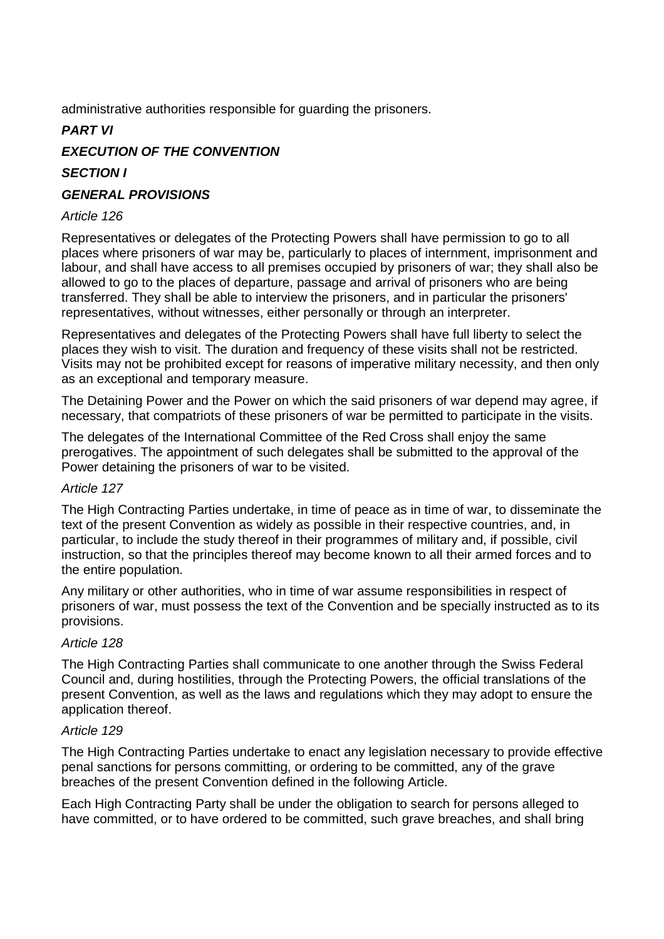administrative authorities responsible for guarding the prisoners.

# **PART VI**

# **EXECUTION OF THE CONVENTION**

# **SECTION I**

# **GENERAL PROVISIONS**

# Article 126

Representatives or delegates of the Protecting Powers shall have permission to go to all places where prisoners of war may be, particularly to places of internment, imprisonment and labour, and shall have access to all premises occupied by prisoners of war; they shall also be allowed to go to the places of departure, passage and arrival of prisoners who are being transferred. They shall be able to interview the prisoners, and in particular the prisoners' representatives, without witnesses, either personally or through an interpreter.

Representatives and delegates of the Protecting Powers shall have full liberty to select the places they wish to visit. The duration and frequency of these visits shall not be restricted. Visits may not be prohibited except for reasons of imperative military necessity, and then only as an exceptional and temporary measure.

The Detaining Power and the Power on which the said prisoners of war depend may agree, if necessary, that compatriots of these prisoners of war be permitted to participate in the visits.

The delegates of the International Committee of the Red Cross shall enjoy the same prerogatives. The appointment of such delegates shall be submitted to the approval of the Power detaining the prisoners of war to be visited.

# Article 127

The High Contracting Parties undertake, in time of peace as in time of war, to disseminate the text of the present Convention as widely as possible in their respective countries, and, in particular, to include the study thereof in their programmes of military and, if possible, civil instruction, so that the principles thereof may become known to all their armed forces and to the entire population.

Any military or other authorities, who in time of war assume responsibilities in respect of prisoners of war, must possess the text of the Convention and be specially instructed as to its provisions.

# Article 128

The High Contracting Parties shall communicate to one another through the Swiss Federal Council and, during hostilities, through the Protecting Powers, the official translations of the present Convention, as well as the laws and regulations which they may adopt to ensure the application thereof.

# Article 129

The High Contracting Parties undertake to enact any legislation necessary to provide effective penal sanctions for persons committing, or ordering to be committed, any of the grave breaches of the present Convention defined in the following Article.

Each High Contracting Party shall be under the obligation to search for persons alleged to have committed, or to have ordered to be committed, such grave breaches, and shall bring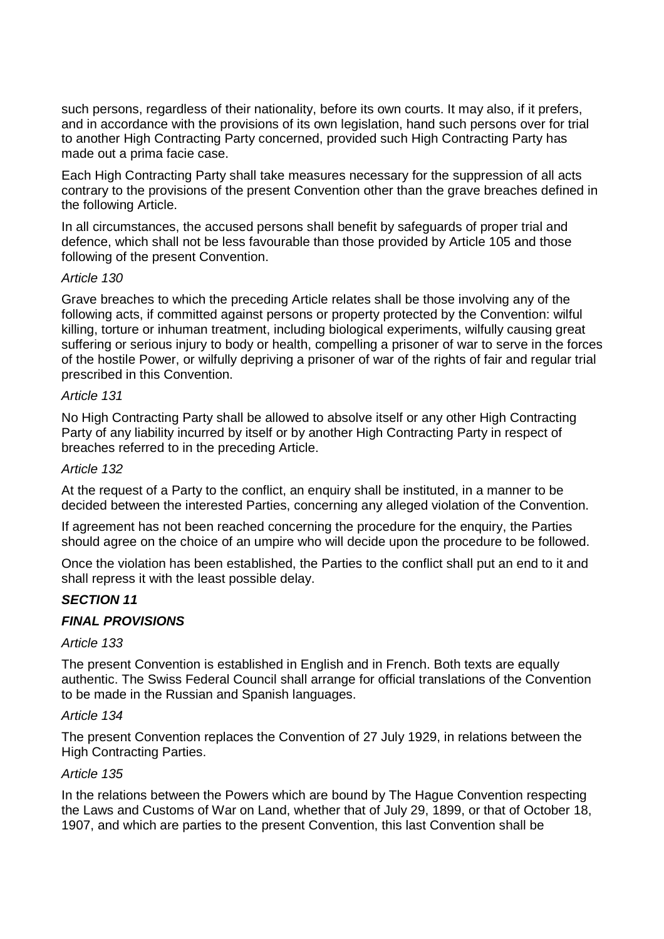such persons, regardless of their nationality, before its own courts. It may also, if it prefers, and in accordance with the provisions of its own legislation, hand such persons over for trial to another High Contracting Party concerned, provided such High Contracting Party has made out a prima facie case.

Each High Contracting Party shall take measures necessary for the suppression of all acts contrary to the provisions of the present Convention other than the grave breaches defined in the following Article.

In all circumstances, the accused persons shall benefit by safeguards of proper trial and defence, which shall not be less favourable than those provided by Article 105 and those following of the present Convention.

### Article 130

Grave breaches to which the preceding Article relates shall be those involving any of the following acts, if committed against persons or property protected by the Convention: wilful killing, torture or inhuman treatment, including biological experiments, wilfully causing great suffering or serious injury to body or health, compelling a prisoner of war to serve in the forces of the hostile Power, or wilfully depriving a prisoner of war of the rights of fair and regular trial prescribed in this Convention.

#### Article 131

No High Contracting Party shall be allowed to absolve itself or any other High Contracting Party of any liability incurred by itself or by another High Contracting Party in respect of breaches referred to in the preceding Article.

### Article 132

At the request of a Party to the conflict, an enquiry shall be instituted, in a manner to be decided between the interested Parties, concerning any alleged violation of the Convention.

If agreement has not been reached concerning the procedure for the enquiry, the Parties should agree on the choice of an umpire who will decide upon the procedure to be followed.

Once the violation has been established, the Parties to the conflict shall put an end to it and shall repress it with the least possible delay.

# **SECTION 11**

# **FINAL PROVISIONS**

#### Article 133

The present Convention is established in English and in French. Both texts are equally authentic. The Swiss Federal Council shall arrange for official translations of the Convention to be made in the Russian and Spanish languages.

#### Article 134

The present Convention replaces the Convention of 27 July 1929, in relations between the High Contracting Parties.

#### Article 135

In the relations between the Powers which are bound by The Hague Convention respecting the Laws and Customs of War on Land, whether that of July 29, 1899, or that of October 18, 1907, and which are parties to the present Convention, this last Convention shall be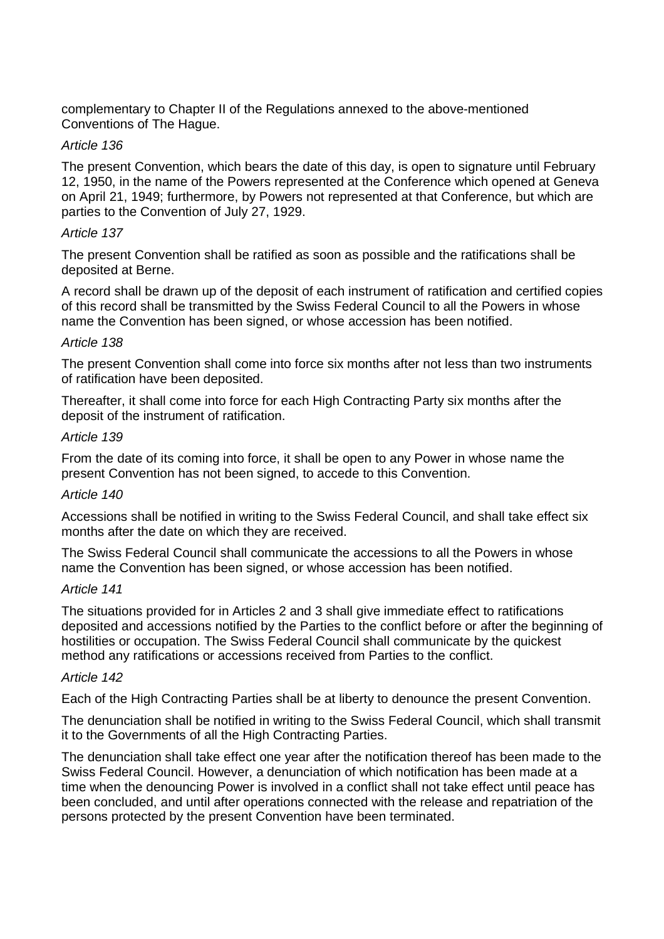complementary to Chapter II of the Regulations annexed to the above-mentioned Conventions of The Hague.

### Article 136

The present Convention, which bears the date of this day, is open to signature until February 12, 1950, in the name of the Powers represented at the Conference which opened at Geneva on April 21, 1949; furthermore, by Powers not represented at that Conference, but which are parties to the Convention of July 27, 1929.

### Article 137

The present Convention shall be ratified as soon as possible and the ratifications shall be deposited at Berne.

A record shall be drawn up of the deposit of each instrument of ratification and certified copies of this record shall be transmitted by the Swiss Federal Council to all the Powers in whose name the Convention has been signed, or whose accession has been notified.

### Article 138

The present Convention shall come into force six months after not less than two instruments of ratification have been deposited.

Thereafter, it shall come into force for each High Contracting Party six months after the deposit of the instrument of ratification.

#### Article 139

From the date of its coming into force, it shall be open to any Power in whose name the present Convention has not been signed, to accede to this Convention.

#### Article 140

Accessions shall be notified in writing to the Swiss Federal Council, and shall take effect six months after the date on which they are received.

The Swiss Federal Council shall communicate the accessions to all the Powers in whose name the Convention has been signed, or whose accession has been notified.

#### Article 141

The situations provided for in Articles 2 and 3 shall give immediate effect to ratifications deposited and accessions notified by the Parties to the conflict before or after the beginning of hostilities or occupation. The Swiss Federal Council shall communicate by the quickest method any ratifications or accessions received from Parties to the conflict.

#### Article 142

Each of the High Contracting Parties shall be at liberty to denounce the present Convention.

The denunciation shall be notified in writing to the Swiss Federal Council, which shall transmit it to the Governments of all the High Contracting Parties.

The denunciation shall take effect one year after the notification thereof has been made to the Swiss Federal Council. However, a denunciation of which notification has been made at a time when the denouncing Power is involved in a conflict shall not take effect until peace has been concluded, and until after operations connected with the release and repatriation of the persons protected by the present Convention have been terminated.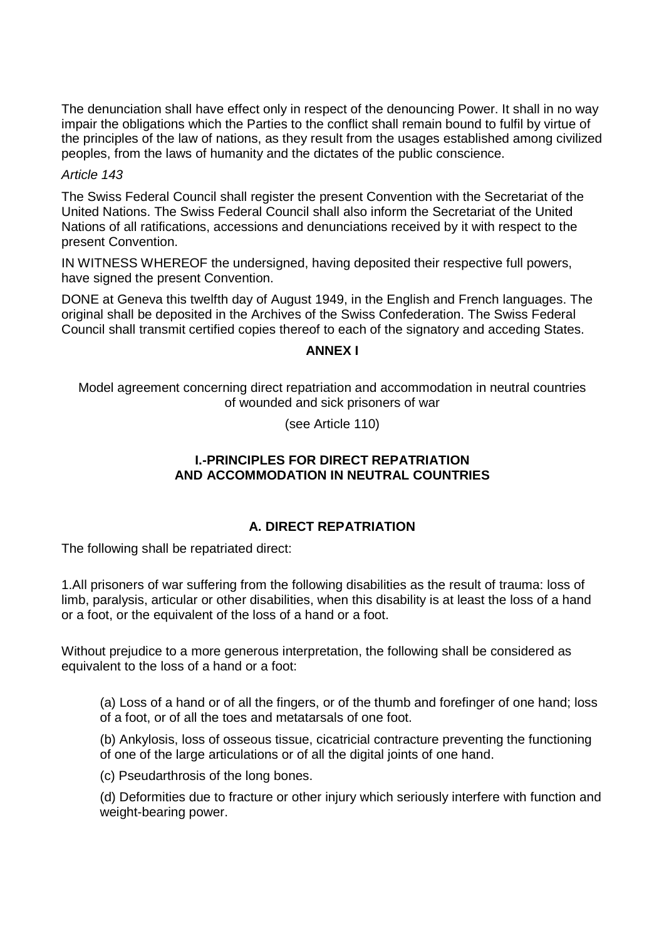The denunciation shall have effect only in respect of the denouncing Power. It shall in no way impair the obligations which the Parties to the conflict shall remain bound to fulfil by virtue of the principles of the law of nations, as they result from the usages established among civilized peoples, from the laws of humanity and the dictates of the public conscience.

#### Article 143

The Swiss Federal Council shall register the present Convention with the Secretariat of the United Nations. The Swiss Federal Council shall also inform the Secretariat of the United Nations of all ratifications, accessions and denunciations received by it with respect to the present Convention.

IN WITNESS WHEREOF the undersigned, having deposited their respective full powers, have signed the present Convention.

DONE at Geneva this twelfth day of August 1949, in the English and French languages. The original shall be deposited in the Archives of the Swiss Confederation. The Swiss Federal Council shall transmit certified copies thereof to each of the signatory and acceding States.

### **ANNEX I**

Model agreement concerning direct repatriation and accommodation in neutral countries of wounded and sick prisoners of war

#### (see Article 110)

# **I.-PRINCIPLES FOR DIRECT REPATRIATION AND ACCOMMODATION IN NEUTRAL COUNTRIES**

#### **A. DIRECT REPATRIATION**

The following shall be repatriated direct:

1.All prisoners of war suffering from the following disabilities as the result of trauma: loss of limb, paralysis, articular or other disabilities, when this disability is at least the loss of a hand or a foot, or the equivalent of the loss of a hand or a foot.

Without prejudice to a more generous interpretation, the following shall be considered as equivalent to the loss of a hand or a foot:

(a) Loss of a hand or of all the fingers, or of the thumb and forefinger of one hand; loss of a foot, or of all the toes and metatarsals of one foot.

(b) Ankylosis, loss of osseous tissue, cicatricial contracture preventing the functioning of one of the large articulations or of all the digital joints of one hand.

(c) Pseudarthrosis of the long bones.

(d) Deformities due to fracture or other injury which seriously interfere with function and weight-bearing power.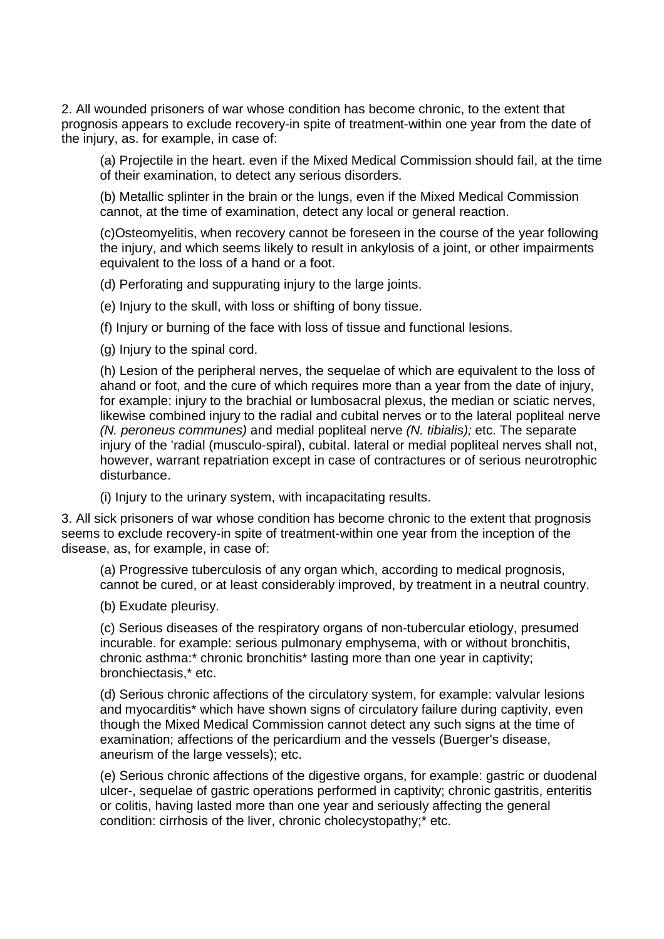2. All wounded prisoners of war whose condition has become chronic, to the extent that prognosis appears to exclude recovery-in spite of treatment-within one year from the date of the injury, as. for example, in case of:

(a) Projectile in the heart. even if the Mixed Medical Commission should fail, at the time of their examination, to detect any serious disorders.

(b) Metallic splinter in the brain or the lungs, even if the Mixed Medical Commission cannot, at the time of examination, detect any local or general reaction.

(c)Osteomyelitis, when recovery cannot be foreseen in the course of the year following the injury, and which seems likely to result in ankylosis of a joint, or other impairments equivalent to the loss of a hand or a foot.

(d) Perforating and suppurating injury to the large joints.

(e) Injury to the skull, with loss or shifting of bony tissue.

(f) Injury or burning of the face with loss of tissue and functional lesions.

(g) Injury to the spinal cord.

(h) Lesion of the peripheral nerves, the sequelae of which are equivalent to the loss of ahand or foot, and the cure of which requires more than a year from the date of injury, for example: injury to the brachial or lumbosacral plexus, the median or sciatic nerves, likewise combined injury to the radial and cubital nerves or to the lateral popliteal nerve (N. peroneus communes) and medial popliteal nerve (N. tibialis); etc. The separate injury of the 'radial (musculo-spiral), cubital. lateral or medial popliteal nerves shall not, however, warrant repatriation except in case of contractures or of serious neurotrophic disturbance.

(i) Injury to the urinary system, with incapacitating results.

3. All sick prisoners of war whose condition has become chronic to the extent that prognosis seems to exclude recovery-in spite of treatment-within one year from the inception of the disease, as, for example, in case of:

(a) Progressive tuberculosis of any organ which, according to medical prognosis, cannot be cured, or at least considerably improved, by treatment in a neutral country.

(b) Exudate pleurisy.

(c) Serious diseases of the respiratory organs of non-tubercular etiology, presumed incurable. for example: serious pulmonary emphysema, with or without bronchitis, chronic asthma:\* chronic bronchitis\* lasting more than one year in captivity; bronchiectasis,\* etc.

(d) Serious chronic affections of the circulatory system, for example: valvular lesions and myocarditis\* which have shown signs of circulatory failure during captivity, even though the Mixed Medical Commission cannot detect any such signs at the time of examination; affections of the pericardium and the vessels (Buerger's disease, aneurism of the large vessels); etc.

(e) Serious chronic affections of the digestive organs, for example: gastric or duodenal ulcer-, sequelae of gastric operations performed in captivity; chronic gastritis, enteritis or colitis, having lasted more than one year and seriously affecting the general condition: cirrhosis of the liver, chronic cholecystopathy;\* etc.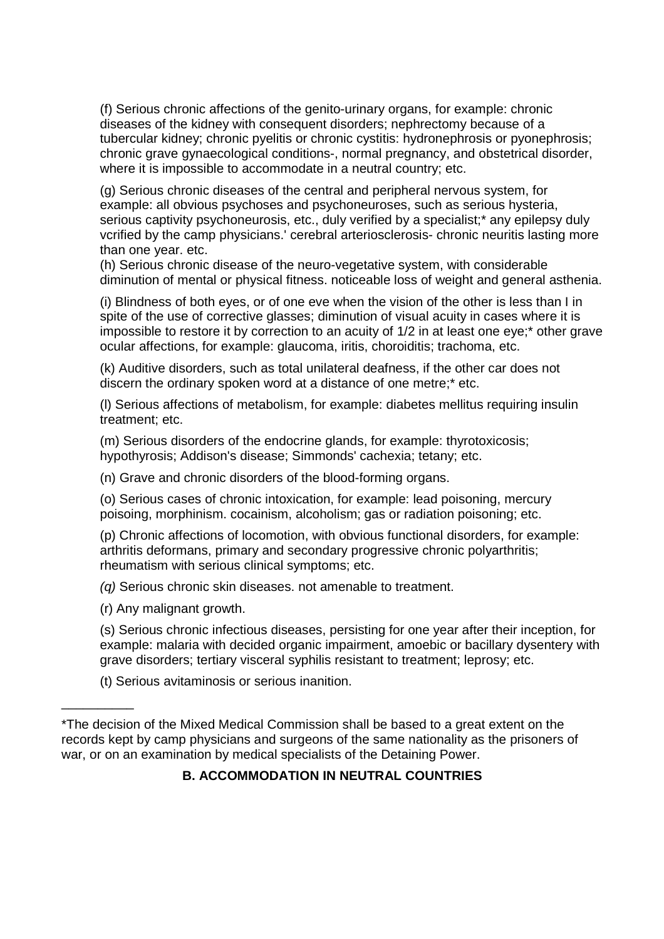(f) Serious chronic affections of the genito-urinary organs, for example: chronic diseases of the kidney with consequent disorders; nephrectomy because of a tubercular kidney; chronic pyelitis or chronic cystitis: hydronephrosis or pyonephrosis; chronic grave gynaecological conditions-, normal pregnancy, and obstetrical disorder, where it is impossible to accommodate in a neutral country; etc.

(g) Serious chronic diseases of the central and peripheral nervous system, for example: all obvious psychoses and psychoneuroses, such as serious hysteria, serious captivity psychoneurosis, etc., duly verified by a specialist;<sup>\*</sup> any epilepsy duly vcrified by the camp physicians.' cerebral arteriosclerosis- chronic neuritis lasting more than one year. etc.

(h) Serious chronic disease of the neuro-vegetative system, with considerable diminution of mental or physical fitness. noticeable loss of weight and general asthenia.

(i) Blindness of both eyes, or of one eve when the vision of the other is less than I in spite of the use of corrective glasses; diminution of visual acuity in cases where it is impossible to restore it by correction to an acuity of 1/2 in at least one eye;\* other grave ocular affections, for example: glaucoma, iritis, choroiditis; trachoma, etc.

(k) Auditive disorders, such as total unilateral deafness, if the other car does not discern the ordinary spoken word at a distance of one metre;\* etc.

(l) Serious affections of metabolism, for example: diabetes mellitus requiring insulin treatment; etc.

(m) Serious disorders of the endocrine glands, for example: thyrotoxicosis; hypothyrosis; Addison's disease; Simmonds' cachexia; tetany; etc.

(n) Grave and chronic disorders of the blood-forming organs.

(o) Serious cases of chronic intoxication, for example: lead poisoning, mercury poisoing, morphinism. cocainism, alcoholism; gas or radiation poisoning; etc.

(p) Chronic affections of locomotion, with obvious functional disorders, for example: arthritis deformans, primary and secondary progressive chronic polyarthritis; rheumatism with serious clinical symptoms; etc.

(q) Serious chronic skin diseases. not amenable to treatment.

(r) Any malignant growth.

\_\_\_\_\_\_\_\_\_\_

(s) Serious chronic infectious diseases, persisting for one year after their inception, for example: malaria with decided organic impairment, amoebic or bacillary dysentery with grave disorders; tertiary visceral syphilis resistant to treatment; leprosy; etc.

(t) Serious avitaminosis or serious inanition.

# **B. ACCOMMODATION IN NEUTRAL COUNTRIES**

<sup>\*</sup>The decision of the Mixed Medical Commission shall be based to a great extent on the records kept by camp physicians and surgeons of the same nationality as the prisoners of war, or on an examination by medical specialists of the Detaining Power.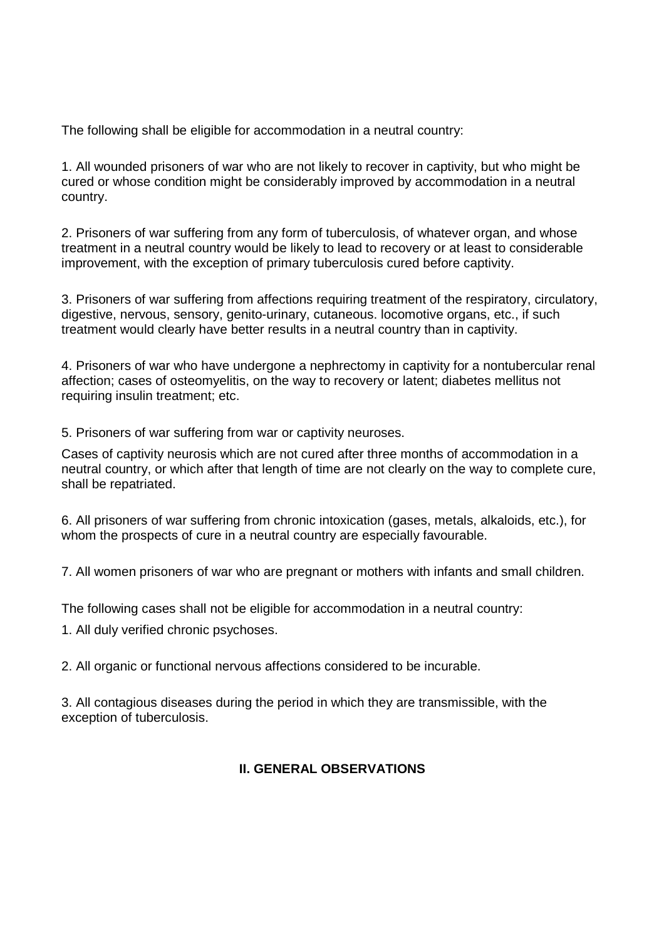The following shall be eligible for accommodation in a neutral country:

1. All wounded prisoners of war who are not likely to recover in captivity, but who might be cured or whose condition might be considerably improved by accommodation in a neutral country.

2. Prisoners of war suffering from any form of tuberculosis, of whatever organ, and whose treatment in a neutral country would be likely to lead to recovery or at least to considerable improvement, with the exception of primary tuberculosis cured before captivity.

3. Prisoners of war suffering from affections requiring treatment of the respiratory, circulatory, digestive, nervous, sensory, genito-urinary, cutaneous. locomotive organs, etc., if such treatment would clearly have better results in a neutral country than in captivity.

4. Prisoners of war who have undergone a nephrectomy in captivity for a nontubercular renal affection; cases of osteomyelitis, on the way to recovery or latent; diabetes mellitus not requiring insulin treatment; etc.

5. Prisoners of war suffering from war or captivity neuroses.

Cases of captivity neurosis which are not cured after three months of accommodation in a neutral country, or which after that length of time are not clearly on the way to complete cure, shall be repatriated.

6. All prisoners of war suffering from chronic intoxication (gases, metals, alkaloids, etc.), for whom the prospects of cure in a neutral country are especially favourable.

7. All women prisoners of war who are pregnant or mothers with infants and small children.

The following cases shall not be eligible for accommodation in a neutral country:

1. All duly verified chronic psychoses.

2. All organic or functional nervous affections considered to be incurable.

3. All contagious diseases during the period in which they are transmissible, with the exception of tuberculosis.

# **II. GENERAL OBSERVATIONS**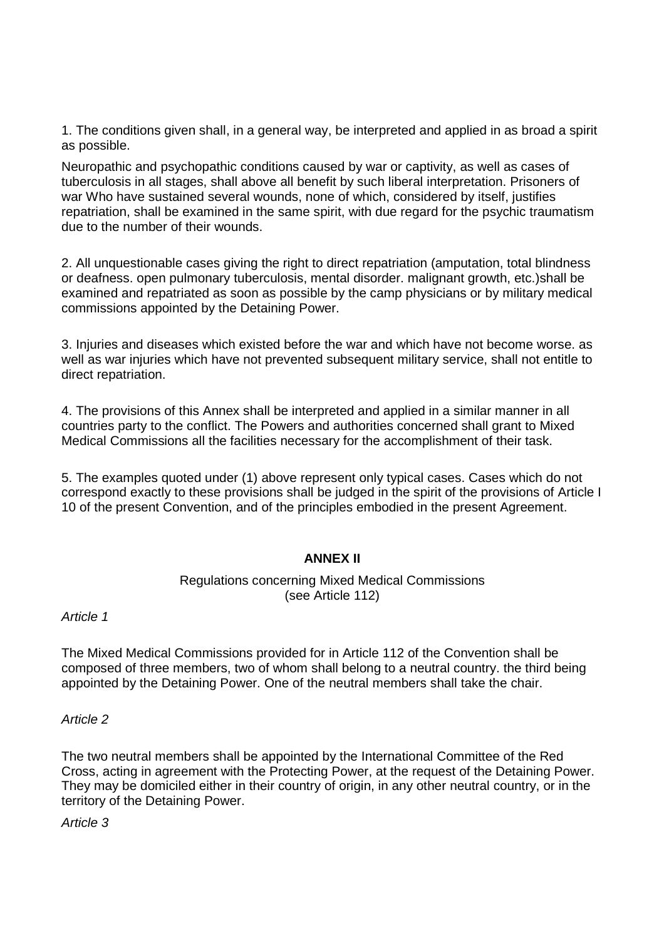1. The conditions given shall, in a general way, be interpreted and applied in as broad a spirit as possible.

Neuropathic and psychopathic conditions caused by war or captivity, as well as cases of tuberculosis in all stages, shall above all benefit by such liberal interpretation. Prisoners of war Who have sustained several wounds, none of which, considered by itself, justifies repatriation, shall be examined in the same spirit, with due regard for the psychic traumatism due to the number of their wounds.

2. All unquestionable cases giving the right to direct repatriation (amputation, total blindness or deafness. open pulmonary tuberculosis, mental disorder. malignant growth, etc.)shall be examined and repatriated as soon as possible by the camp physicians or by military medical commissions appointed by the Detaining Power.

3. Injuries and diseases which existed before the war and which have not become worse. as well as war injuries which have not prevented subsequent military service, shall not entitle to direct repatriation.

4. The provisions of this Annex shall be interpreted and applied in a similar manner in all countries party to the conflict. The Powers and authorities concerned shall grant to Mixed Medical Commissions all the facilities necessary for the accomplishment of their task.

5. The examples quoted under (1) above represent only typical cases. Cases which do not correspond exactly to these provisions shall be judged in the spirit of the provisions of Article I 10 of the present Convention, and of the principles embodied in the present Agreement.

### **ANNEX II**

### Regulations concerning Mixed Medical Commissions (see Article 112)

Article 1

The Mixed Medical Commissions provided for in Article 112 of the Convention shall be composed of three members, two of whom shall belong to a neutral country. the third being appointed by the Detaining Power. One of the neutral members shall take the chair.

Article 2

The two neutral members shall be appointed by the International Committee of the Red Cross, acting in agreement with the Protecting Power, at the request of the Detaining Power. They may be domiciled either in their country of origin, in any other neutral country, or in the territory of the Detaining Power.

Article 3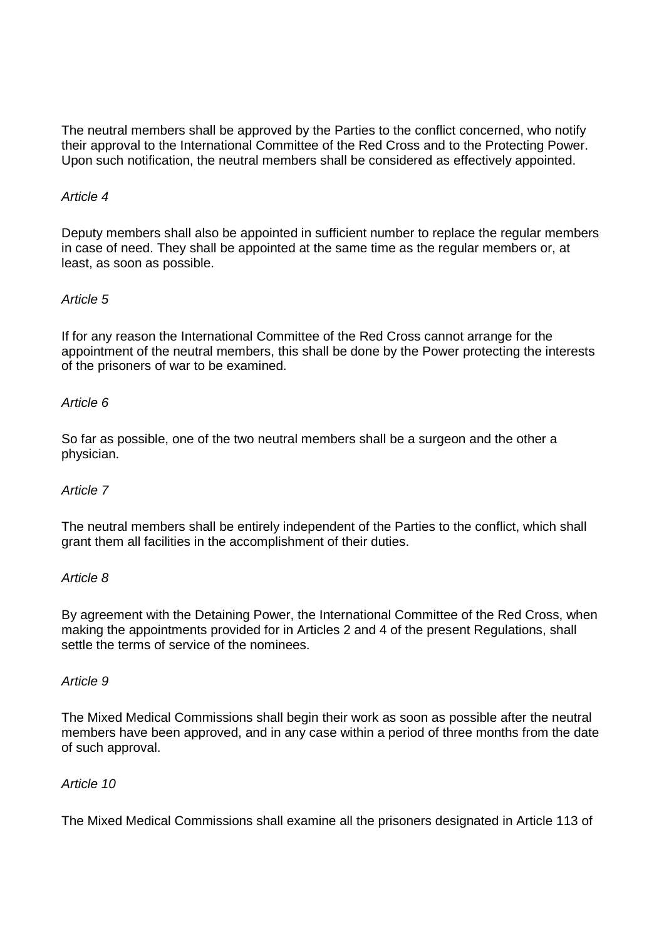The neutral members shall be approved by the Parties to the conflict concerned, who notify their approval to the International Committee of the Red Cross and to the Protecting Power. Upon such notification, the neutral members shall be considered as effectively appointed.

### Article 4

Deputy members shall also be appointed in sufficient number to replace the regular members in case of need. They shall be appointed at the same time as the regular members or, at least, as soon as possible.

### Article 5

If for any reason the International Committee of the Red Cross cannot arrange for the appointment of the neutral members, this shall be done by the Power protecting the interests of the prisoners of war to be examined.

### Article 6

So far as possible, one of the two neutral members shall be a surgeon and the other a physician.

#### Article 7

The neutral members shall be entirely independent of the Parties to the conflict, which shall grant them all facilities in the accomplishment of their duties.

#### Article 8

By agreement with the Detaining Power, the International Committee of the Red Cross, when making the appointments provided for in Articles 2 and 4 of the present Regulations, shall settle the terms of service of the nominees.

#### Article 9

The Mixed Medical Commissions shall begin their work as soon as possible after the neutral members have been approved, and in any case within a period of three months from the date of such approval.

### Article 10

The Mixed Medical Commissions shall examine all the prisoners designated in Article 113 of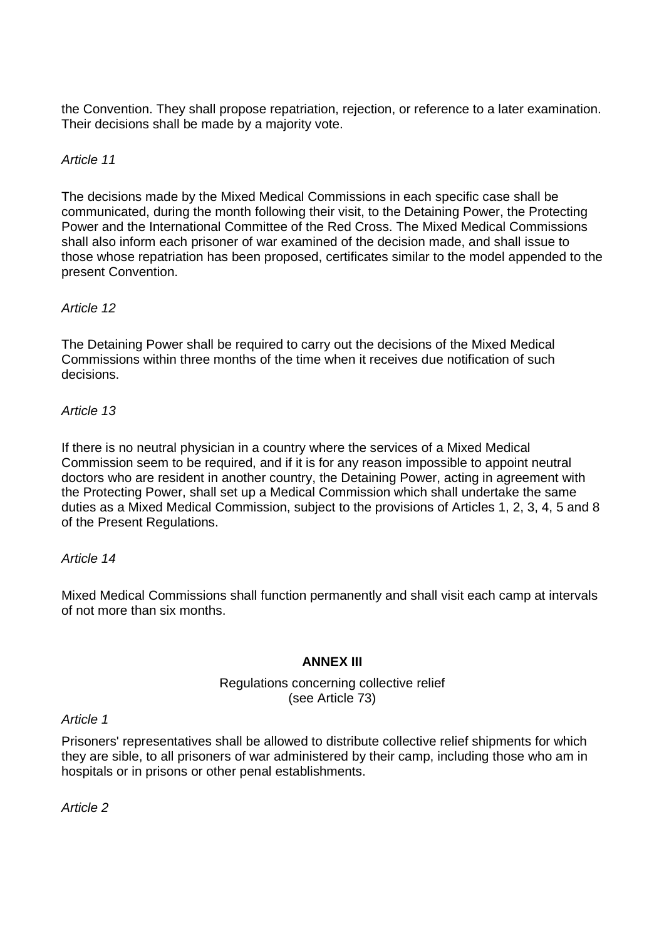the Convention. They shall propose repatriation, rejection, or reference to a later examination. Their decisions shall be made by a majority vote.

# Article 11

The decisions made by the Mixed Medical Commissions in each specific case shall be communicated, during the month following their visit, to the Detaining Power, the Protecting Power and the International Committee of the Red Cross. The Mixed Medical Commissions shall also inform each prisoner of war examined of the decision made, and shall issue to those whose repatriation has been proposed, certificates similar to the model appended to the present Convention.

# Article 12

The Detaining Power shall be required to carry out the decisions of the Mixed Medical Commissions within three months of the time when it receives due notification of such decisions.

### Article 13

If there is no neutral physician in a country where the services of a Mixed Medical Commission seem to be required, and if it is for any reason impossible to appoint neutral doctors who are resident in another country, the Detaining Power, acting in agreement with the Protecting Power, shall set up a Medical Commission which shall undertake the same duties as a Mixed Medical Commission, subject to the provisions of Articles 1, 2, 3, 4, 5 and 8 of the Present Regulations.

# Article 14

Mixed Medical Commissions shall function permanently and shall visit each camp at intervals of not more than six months.

#### **ANNEX III**

### Regulations concerning collective relief (see Article 73)

#### Article 1

Prisoners' representatives shall be allowed to distribute collective relief shipments for which they are sible, to all prisoners of war administered by their camp, including those who am in hospitals or in prisons or other penal establishments.

Article 2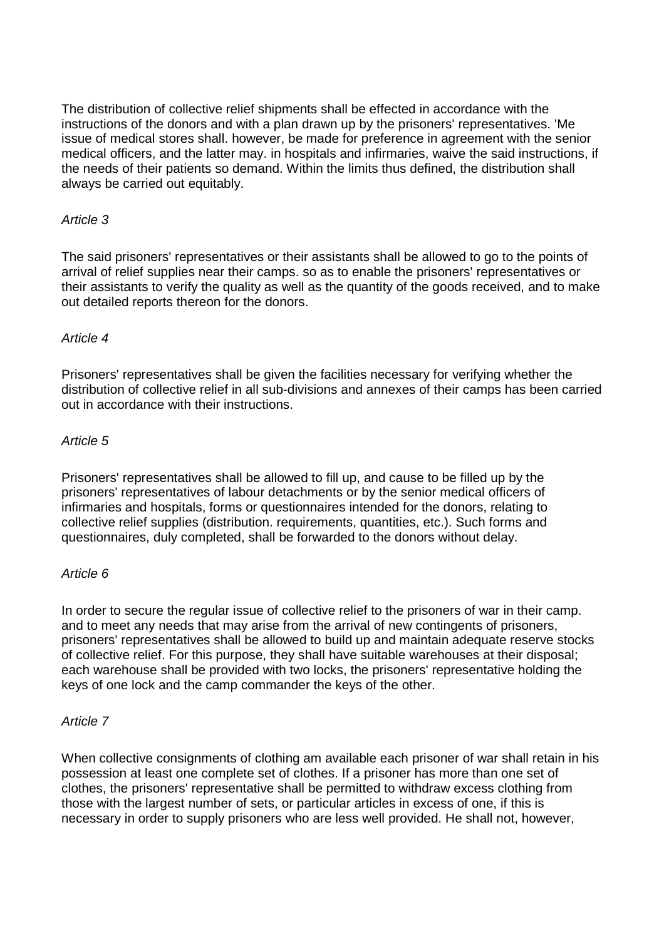The distribution of collective relief shipments shall be effected in accordance with the instructions of the donors and with a plan drawn up by the prisoners' representatives. 'Me issue of medical stores shall. however, be made for preference in agreement with the senior medical officers, and the latter may. in hospitals and infirmaries, waive the said instructions, if the needs of their patients so demand. Within the limits thus defined, the distribution shall always be carried out equitably.

### Article 3

The said prisoners' representatives or their assistants shall be allowed to go to the points of arrival of relief supplies near their camps. so as to enable the prisoners' representatives or their assistants to verify the quality as well as the quantity of the goods received, and to make out detailed reports thereon for the donors.

### Article 4

Prisoners' representatives shall be given the facilities necessary for verifying whether the distribution of collective relief in all sub-divisions and annexes of their camps has been carried out in accordance with their instructions.

### Article 5

Prisoners' representatives shall be allowed to fill up, and cause to be filled up by the prisoners' representatives of labour detachments or by the senior medical officers of infirmaries and hospitals, forms or questionnaires intended for the donors, relating to collective relief supplies (distribution. requirements, quantities, etc.). Such forms and questionnaires, duly completed, shall be forwarded to the donors without delay.

#### Article 6

In order to secure the regular issue of collective relief to the prisoners of war in their camp. and to meet any needs that may arise from the arrival of new contingents of prisoners, prisoners' representatives shall be allowed to build up and maintain adequate reserve stocks of collective relief. For this purpose, they shall have suitable warehouses at their disposal; each warehouse shall be provided with two locks, the prisoners' representative holding the keys of one lock and the camp commander the keys of the other.

# Article 7

When collective consignments of clothing am available each prisoner of war shall retain in his possession at least one complete set of clothes. If a prisoner has more than one set of clothes, the prisoners' representative shall be permitted to withdraw excess clothing from those with the largest number of sets, or particular articles in excess of one, if this is necessary in order to supply prisoners who are less well provided. He shall not, however,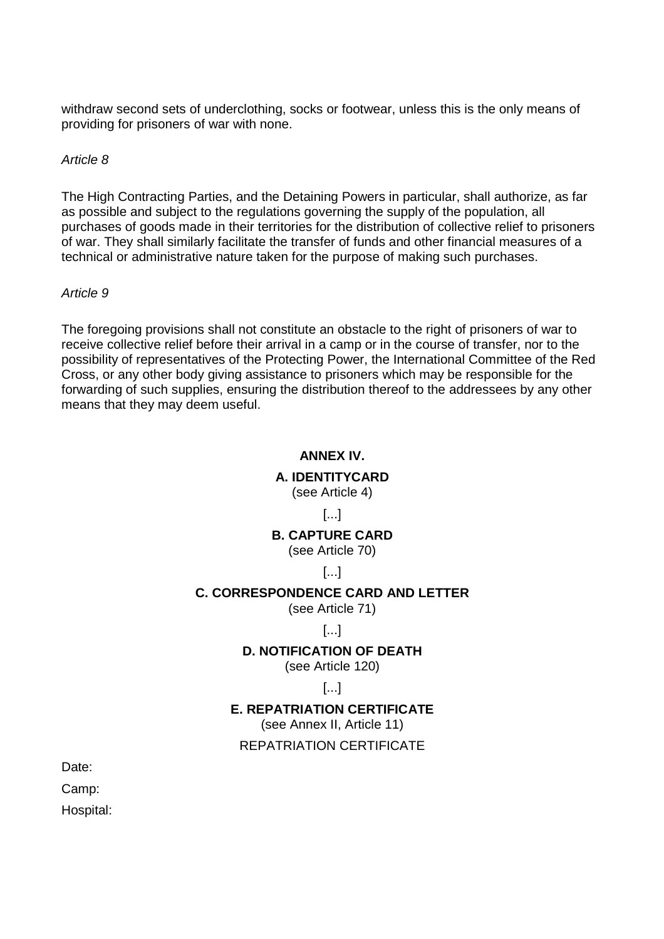withdraw second sets of underclothing, socks or footwear, unless this is the only means of providing for prisoners of war with none.

Article 8

The High Contracting Parties, and the Detaining Powers in particular, shall authorize, as far as possible and subject to the regulations governing the supply of the population, all purchases of goods made in their territories for the distribution of collective relief to prisoners of war. They shall similarly facilitate the transfer of funds and other financial measures of a technical or administrative nature taken for the purpose of making such purchases.

#### Article 9

The foregoing provisions shall not constitute an obstacle to the right of prisoners of war to receive collective relief before their arrival in a camp or in the course of transfer, nor to the possibility of representatives of the Protecting Power, the International Committee of the Red Cross, or any other body giving assistance to prisoners which may be responsible for the forwarding of such supplies, ensuring the distribution thereof to the addressees by any other means that they may deem useful.

#### **ANNEX IV.**

#### **A. IDENTITYCARD**

(see Article 4)

[...]

# **B. CAPTURE CARD**

(see Article 70)

[...]

### **C. CORRESPONDENCE CARD AND LETTER**

(see Article 71)

[...]

#### **D. NOTIFICATION OF DEATH**

(see Article 120)

# [...]

# **E. REPATRIATION CERTIFICATE**

(see Annex II, Article 11)

# REPATRIATION CERTIFICATE

Date:

Camp:

Hospital: